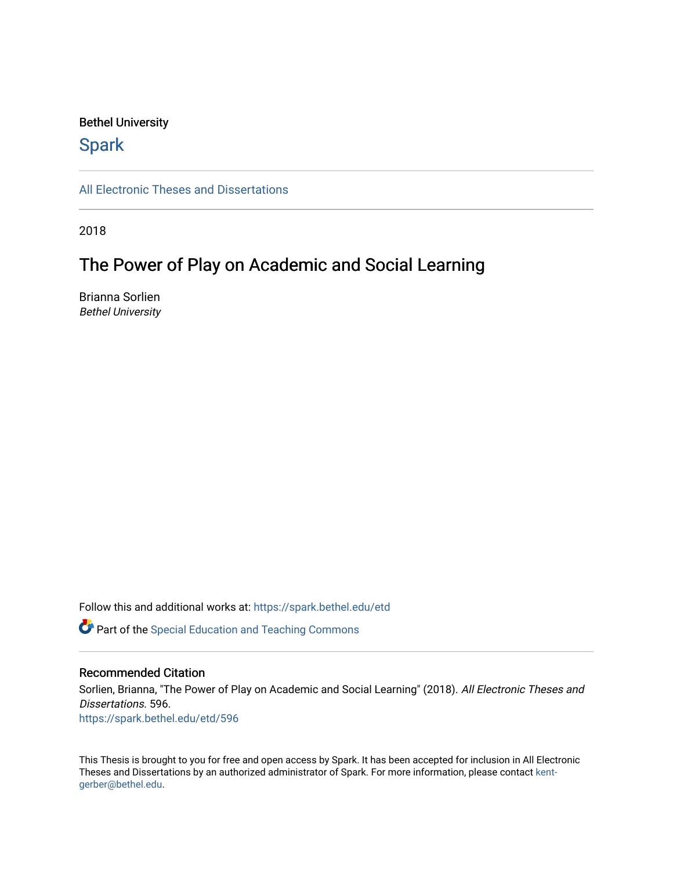## Bethel University

## **Spark**

[All Electronic Theses and Dissertations](https://spark.bethel.edu/etd) 

2018

# The Power of Play on Academic and Social Learning

Brianna Sorlien Bethel University

Follow this and additional works at: [https://spark.bethel.edu/etd](https://spark.bethel.edu/etd?utm_source=spark.bethel.edu%2Fetd%2F596&utm_medium=PDF&utm_campaign=PDFCoverPages)

**P** Part of the Special Education and Teaching Commons

## Recommended Citation

Sorlien, Brianna, "The Power of Play on Academic and Social Learning" (2018). All Electronic Theses and Dissertations. 596. [https://spark.bethel.edu/etd/596](https://spark.bethel.edu/etd/596?utm_source=spark.bethel.edu%2Fetd%2F596&utm_medium=PDF&utm_campaign=PDFCoverPages)

This Thesis is brought to you for free and open access by Spark. It has been accepted for inclusion in All Electronic Theses and Dissertations by an authorized administrator of Spark. For more information, please contact [kent](mailto:kent-gerber@bethel.edu)[gerber@bethel.edu.](mailto:kent-gerber@bethel.edu)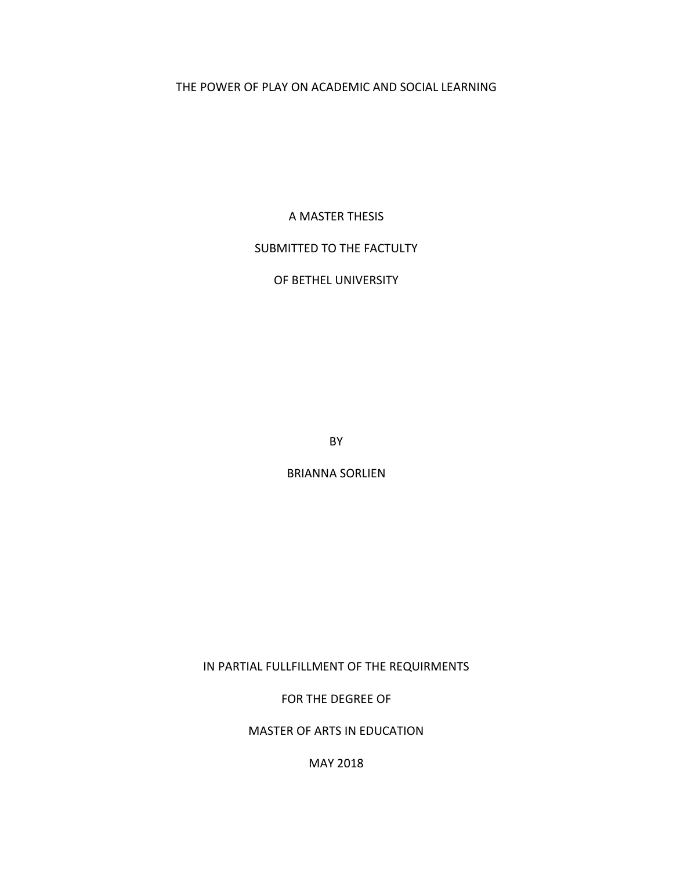## THE POWER OF PLAY ON ACADEMIC AND SOCIAL LEARNING

A MASTER THESIS

## SUBMITTED TO THE FACTULTY

OF BETHEL UNIVERSITY

BY

BRIANNA SORLIEN

IN PARTIAL FULLFILLMENT OF THE REQUIRMENTS

FOR THE DEGREE OF

MASTER OF ARTS IN EDUCATION

MAY 2018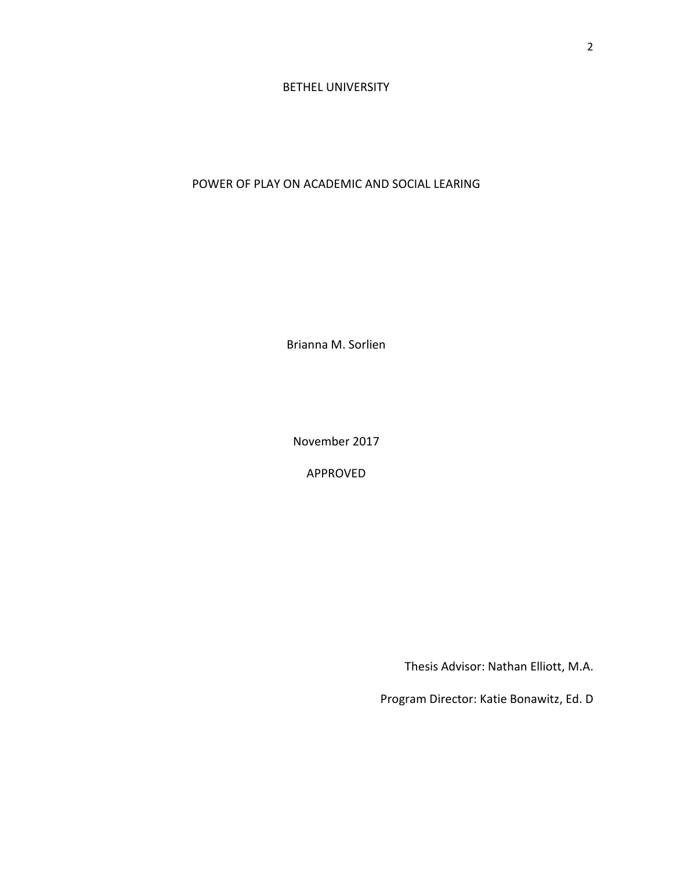## BETHEL UNIVERSITY

## POWER OF PLAY ON ACADEMIC AND SOCIAL LEARING

Brianna M. Sorlien

November 2017

APPROVED

Thesis Advisor: Nathan Elliott, M.A.

Program Director: Katie Bonawitz, Ed. D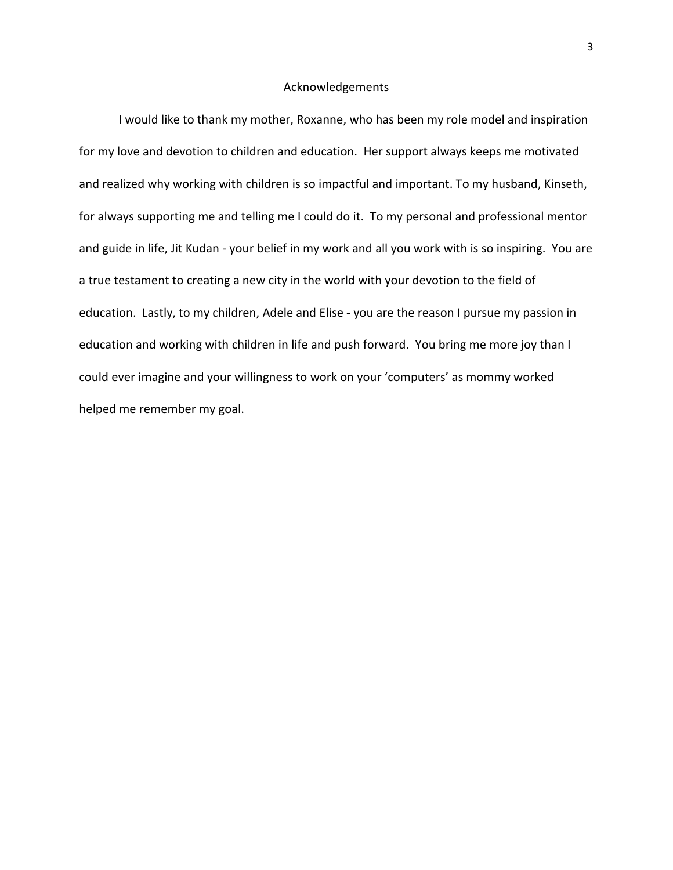## Acknowledgements

I would like to thank my mother, Roxanne, who has been my role model and inspiration for my love and devotion to children and education. Her support always keeps me motivated and realized why working with children is so impactful and important. To my husband, Kinseth, for always supporting me and telling me I could do it. To my personal and professional mentor and guide in life, Jit Kudan - your belief in my work and all you work with is so inspiring. You are a true testament to creating a new city in the world with your devotion to the field of education. Lastly, to my children, Adele and Elise - you are the reason I pursue my passion in education and working with children in life and push forward. You bring me more joy than I could ever imagine and your willingness to work on your 'computers' as mommy worked helped me remember my goal.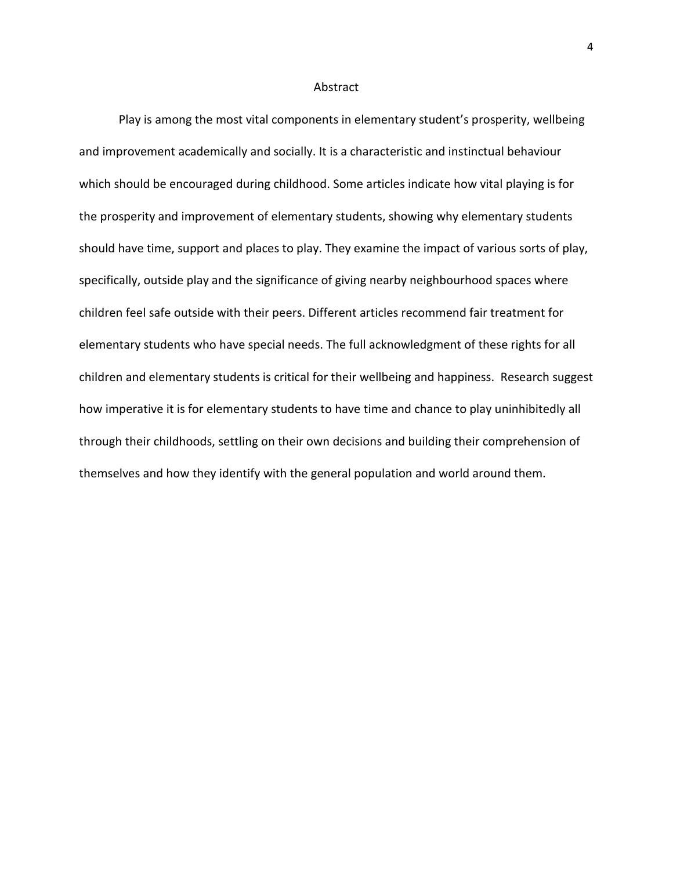### Abstract

Play is among the most vital components in elementary student's prosperity, wellbeing and improvement academically and socially. It is a characteristic and instinctual behaviour which should be encouraged during childhood. Some articles indicate how vital playing is for the prosperity and improvement of elementary students, showing why elementary students should have time, support and places to play. They examine the impact of various sorts of play, specifically, outside play and the significance of giving nearby neighbourhood spaces where children feel safe outside with their peers. Different articles recommend fair treatment for elementary students who have special needs. The full acknowledgment of these rights for all children and elementary students is critical for their wellbeing and happiness. Research suggest how imperative it is for elementary students to have time and chance to play uninhibitedly all through their childhoods, settling on their own decisions and building their comprehension of themselves and how they identify with the general population and world around them.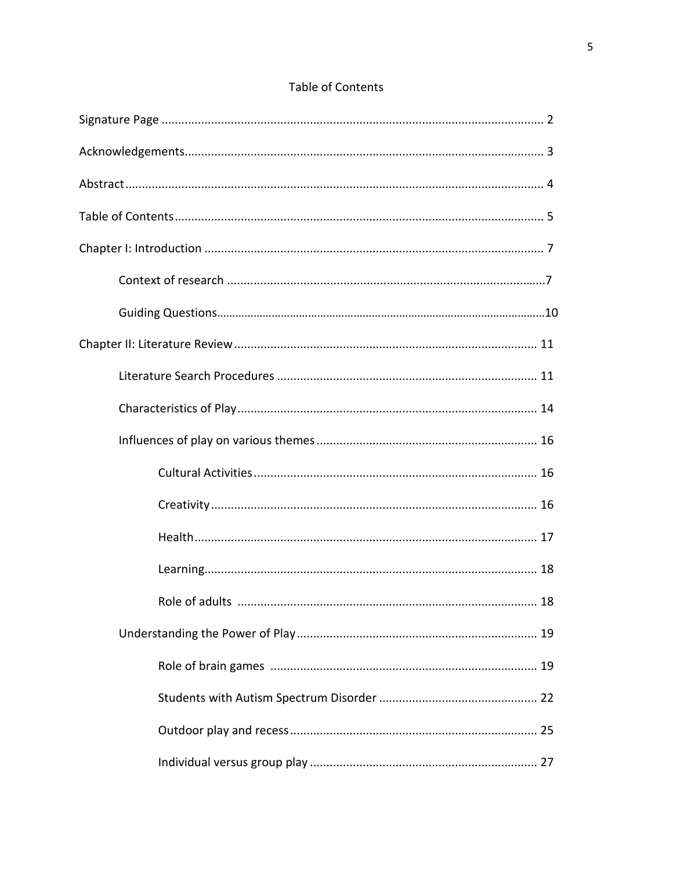## Table of Contents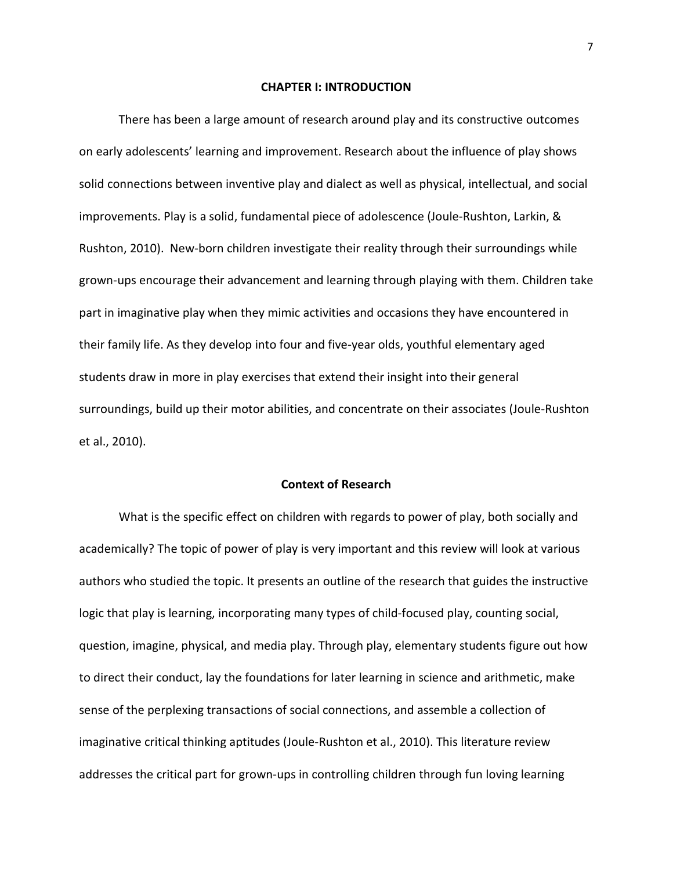#### **CHAPTER I: INTRODUCTION**

There has been a large amount of research around play and its constructive outcomes on early adolescents' learning and improvement. Research about the influence of play shows solid connections between inventive play and dialect as well as physical, intellectual, and social improvements. Play is a solid, fundamental piece of adolescence (Joule-Rushton, Larkin, & Rushton, 2010). New-born children investigate their reality through their surroundings while grown-ups encourage their advancement and learning through playing with them. Children take part in imaginative play when they mimic activities and occasions they have encountered in their family life. As they develop into four and five-year olds, youthful elementary aged students draw in more in play exercises that extend their insight into their general surroundings, build up their motor abilities, and concentrate on their associates (Joule-Rushton et al., 2010).

#### **Context of Research**

What is the specific effect on children with regards to power of play, both socially and academically? The topic of power of play is very important and this review will look at various authors who studied the topic. It presents an outline of the research that guides the instructive logic that play is learning, incorporating many types of child-focused play, counting social, question, imagine, physical, and media play. Through play, elementary students figure out how to direct their conduct, lay the foundations for later learning in science and arithmetic, make sense of the perplexing transactions of social connections, and assemble a collection of imaginative critical thinking aptitudes (Joule-Rushton et al., 2010). This literature review addresses the critical part for grown-ups in controlling children through fun loving learning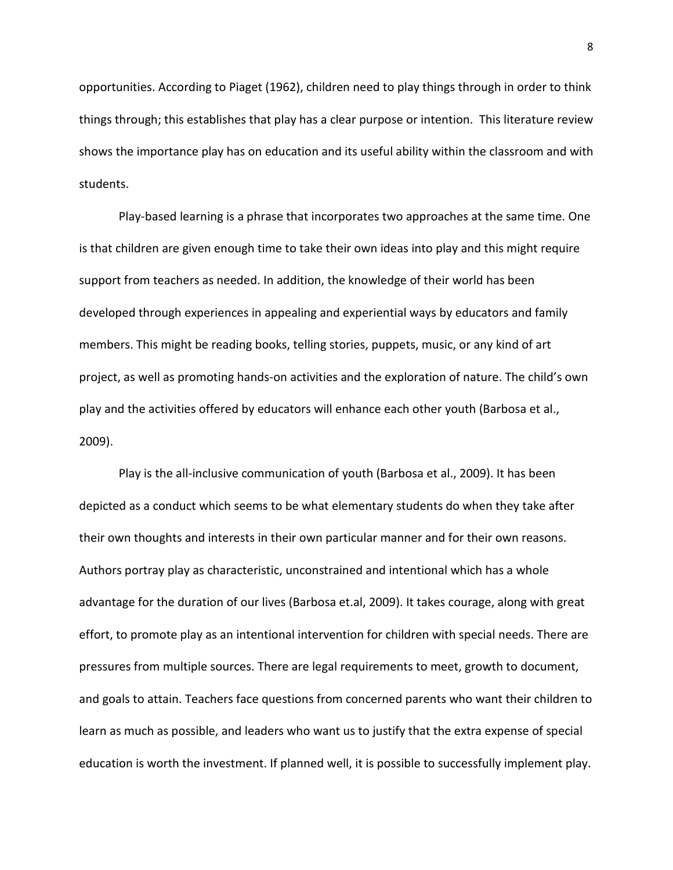opportunities. According to Piaget (1962), children need to play things through in order to think things through; this establishes that play has a clear purpose or intention. This literature review shows the importance play has on education and its useful ability within the classroom and with students.

Play-based learning is a phrase that incorporates two approaches at the same time. One is that children are given enough time to take their own ideas into play and this might require support from teachers as needed. In addition, the knowledge of their world has been developed through experiences in appealing and experiential ways by educators and family members. This might be reading books, telling stories, puppets, music, or any kind of art project, as well as promoting hands-on activities and the exploration of nature. The child's own play and the activities offered by educators will enhance each other youth (Barbosa et al., 2009).

Play is the all-inclusive communication of youth (Barbosa et al., 2009). It has been depicted as a conduct which seems to be what elementary students do when they take after their own thoughts and interests in their own particular manner and for their own reasons. Authors portray play as characteristic, unconstrained and intentional which has a whole advantage for the duration of our lives (Barbosa et.al, 2009). It takes courage, along with great effort, to promote play as an intentional intervention for children with special needs. There are pressures from multiple sources. There are legal requirements to meet, growth to document, and goals to attain. Teachers face questions from concerned parents who want their children to learn as much as possible, and leaders who want us to justify that the extra expense of special education is worth the investment. If planned well, it is possible to successfully implement play.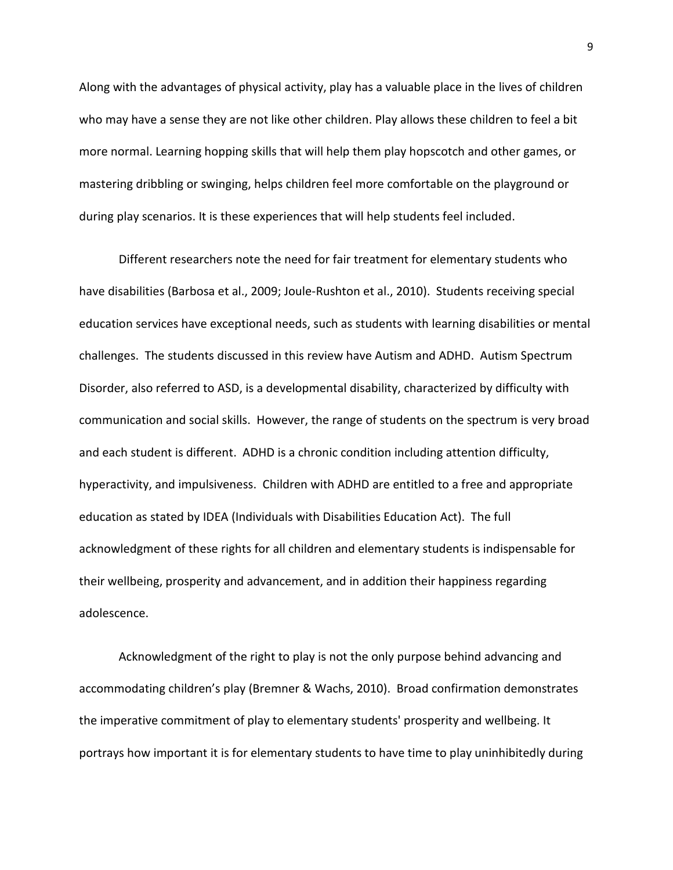Along with the advantages of physical activity, play has a valuable place in the lives of children who may have a sense they are not like other children. Play allows these children to feel a bit more normal. Learning hopping skills that will help them play hopscotch and other games, or mastering dribbling or swinging, helps children feel more comfortable on the playground or during play scenarios. It is these experiences that will help students feel included.

Different researchers note the need for fair treatment for elementary students who have disabilities (Barbosa et al., 2009; Joule-Rushton et al., 2010). Students receiving special education services have exceptional needs, such as students with learning disabilities or mental challenges. The students discussed in this review have Autism and ADHD. Autism Spectrum Disorder, also referred to ASD, is a developmental disability, characterized by difficulty with communication and social skills. However, the range of students on the spectrum is very broad and each student is different. ADHD is a chronic condition including attention difficulty, hyperactivity, and impulsiveness. Children with ADHD are entitled to a free and appropriate education as stated by IDEA (Individuals with Disabilities Education Act). The full acknowledgment of these rights for all children and elementary students is indispensable for their wellbeing, prosperity and advancement, and in addition their happiness regarding adolescence.

Acknowledgment of the right to play is not the only purpose behind advancing and accommodating children's play (Bremner & Wachs, 2010). Broad confirmation demonstrates the imperative commitment of play to elementary students' prosperity and wellbeing. It portrays how important it is for elementary students to have time to play uninhibitedly during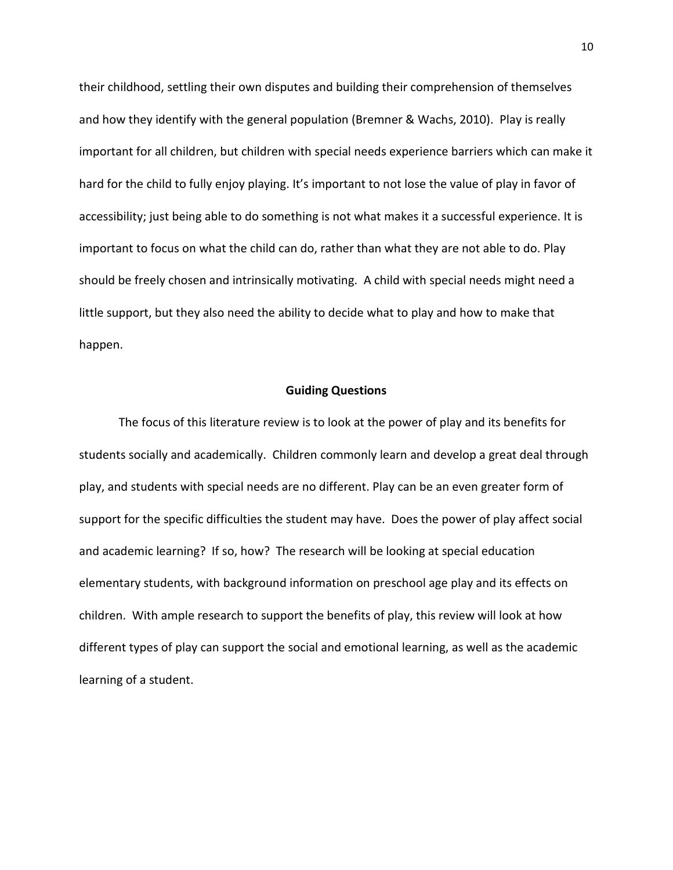their childhood, settling their own disputes and building their comprehension of themselves and how they identify with the general population (Bremner & Wachs, 2010). Play is really important for all children, but children with special needs experience barriers which can make it hard for the child to fully enjoy playing. It's important to not lose the value of play in favor of accessibility; just being able to do something is not what makes it a successful experience. It is important to focus on what the child can do, rather than what they are not able to do. Play should be freely chosen and intrinsically motivating. A child with special needs might need a little support, but they also need the ability to decide what to play and how to make that happen.

#### **Guiding Questions**

The focus of this literature review is to look at the power of play and its benefits for students socially and academically. Children commonly learn and develop a great deal through play, and students with special needs are no different. Play can be an even greater form of support for the specific difficulties the student may have. Does the power of play affect social and academic learning? If so, how? The research will be looking at special education elementary students, with background information on preschool age play and its effects on children. With ample research to support the benefits of play, this review will look at how different types of play can support the social and emotional learning, as well as the academic learning of a student.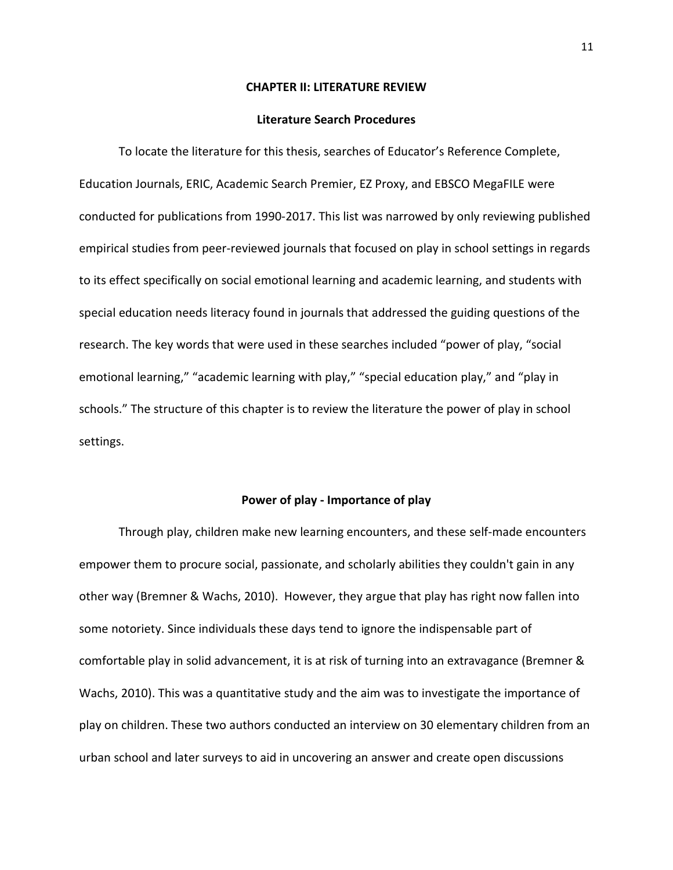#### **CHAPTER II: LITERATURE REVIEW**

#### **Literature Search Procedures**

To locate the literature for this thesis, searches of Educator's Reference Complete, Education Journals, ERIC, Academic Search Premier, EZ Proxy, and EBSCO MegaFILE were conducted for publications from 1990-2017. This list was narrowed by only reviewing published empirical studies from peer-reviewed journals that focused on play in school settings in regards to its effect specifically on social emotional learning and academic learning, and students with special education needs literacy found in journals that addressed the guiding questions of the research. The key words that were used in these searches included "power of play, "social emotional learning," "academic learning with play," "special education play," and "play in schools." The structure of this chapter is to review the literature the power of play in school settings.

#### **Power of play - Importance of play**

Through play, children make new learning encounters, and these self-made encounters empower them to procure social, passionate, and scholarly abilities they couldn't gain in any other way (Bremner & Wachs, 2010). However, they argue that play has right now fallen into some notoriety. Since individuals these days tend to ignore the indispensable part of comfortable play in solid advancement, it is at risk of turning into an extravagance (Bremner & Wachs, 2010). This was a quantitative study and the aim was to investigate the importance of play on children. These two authors conducted an interview on 30 elementary children from an urban school and later surveys to aid in uncovering an answer and create open discussions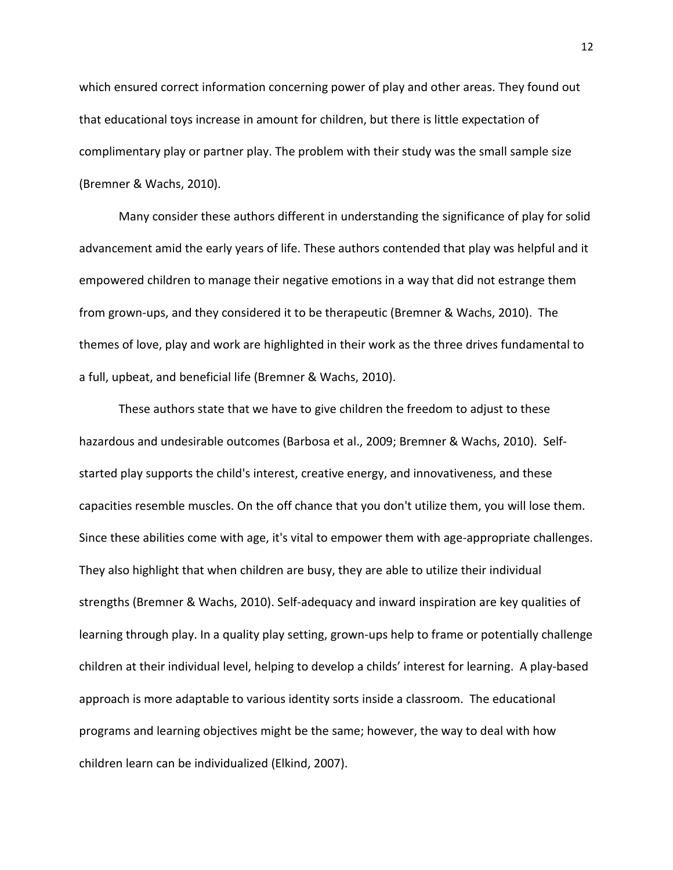which ensured correct information concerning power of play and other areas. They found out that educational toys increase in amount for children, but there is little expectation of complimentary play or partner play. The problem with their study was the small sample size (Bremner & Wachs, 2010).

Many consider these authors different in understanding the significance of play for solid advancement amid the early years of life. These authors contended that play was helpful and it empowered children to manage their negative emotions in a way that did not estrange them from grown-ups, and they considered it to be therapeutic (Bremner & Wachs, 2010). The themes of love, play and work are highlighted in their work as the three drives fundamental to a full, upbeat, and beneficial life (Bremner & Wachs, 2010).

These authors state that we have to give children the freedom to adjust to these hazardous and undesirable outcomes (Barbosa et al., 2009; Bremner & Wachs, 2010). Selfstarted play supports the child's interest, creative energy, and innovativeness, and these capacities resemble muscles. On the off chance that you don't utilize them, you will lose them. Since these abilities come with age, it's vital to empower them with age-appropriate challenges. They also highlight that when children are busy, they are able to utilize their individual strengths (Bremner & Wachs, 2010). Self-adequacy and inward inspiration are key qualities of learning through play. In a quality play setting, grown-ups help to frame or potentially challenge children at their individual level, helping to develop a childs' interest for learning. A play-based approach is more adaptable to various identity sorts inside a classroom. The educational programs and learning objectives might be the same; however, the way to deal with how children learn can be individualized (Elkind, 2007).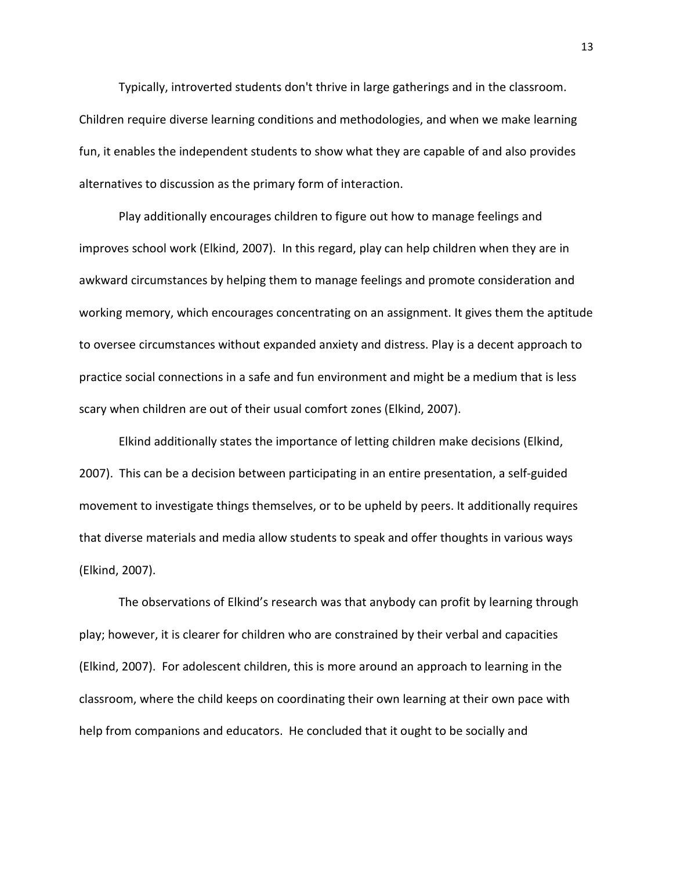Typically, introverted students don't thrive in large gatherings and in the classroom. Children require diverse learning conditions and methodologies, and when we make learning fun, it enables the independent students to show what they are capable of and also provides alternatives to discussion as the primary form of interaction.

Play additionally encourages children to figure out how to manage feelings and improves school work (Elkind, 2007). In this regard, play can help children when they are in awkward circumstances by helping them to manage feelings and promote consideration and working memory, which encourages concentrating on an assignment. It gives them the aptitude to oversee circumstances without expanded anxiety and distress. Play is a decent approach to practice social connections in a safe and fun environment and might be a medium that is less scary when children are out of their usual comfort zones (Elkind, 2007).

Elkind additionally states the importance of letting children make decisions (Elkind, 2007). This can be a decision between participating in an entire presentation, a self-guided movement to investigate things themselves, or to be upheld by peers. It additionally requires that diverse materials and media allow students to speak and offer thoughts in various ways (Elkind, 2007).

The observations of Elkind's research was that anybody can profit by learning through play; however, it is clearer for children who are constrained by their verbal and capacities (Elkind, 2007). For adolescent children, this is more around an approach to learning in the classroom, where the child keeps on coordinating their own learning at their own pace with help from companions and educators. He concluded that it ought to be socially and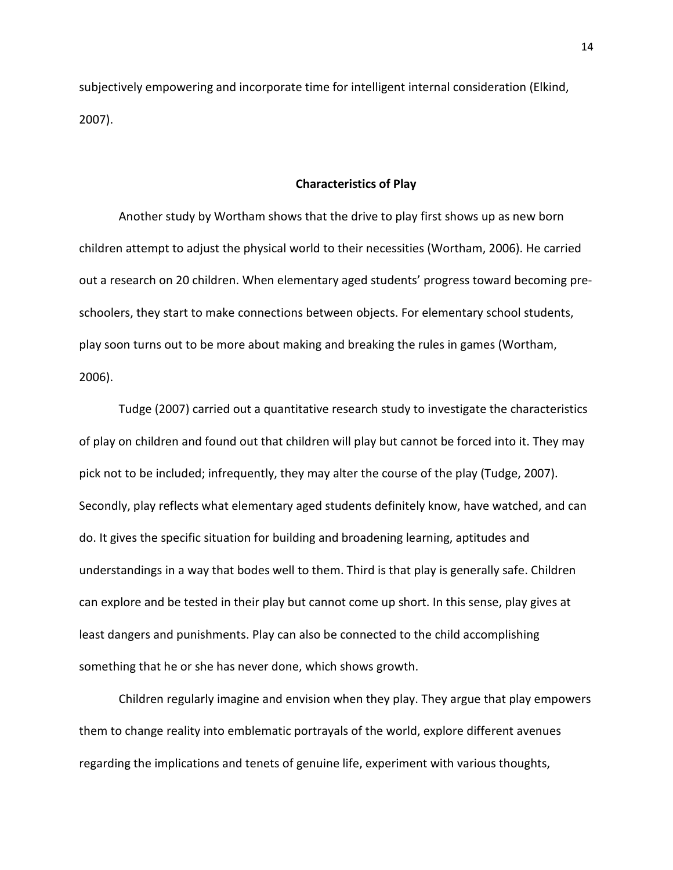subjectively empowering and incorporate time for intelligent internal consideration (Elkind, 2007).

#### **Characteristics of Play**

Another study by Wortham shows that the drive to play first shows up as new born children attempt to adjust the physical world to their necessities (Wortham, 2006). He carried out a research on 20 children. When elementary aged students' progress toward becoming preschoolers, they start to make connections between objects. For elementary school students, play soon turns out to be more about making and breaking the rules in games (Wortham, 2006).

Tudge (2007) carried out a quantitative research study to investigate the characteristics of play on children and found out that children will play but cannot be forced into it. They may pick not to be included; infrequently, they may alter the course of the play (Tudge, 2007). Secondly, play reflects what elementary aged students definitely know, have watched, and can do. It gives the specific situation for building and broadening learning, aptitudes and understandings in a way that bodes well to them. Third is that play is generally safe. Children can explore and be tested in their play but cannot come up short. In this sense, play gives at least dangers and punishments. Play can also be connected to the child accomplishing something that he or she has never done, which shows growth.

Children regularly imagine and envision when they play. They argue that play empowers them to change reality into emblematic portrayals of the world, explore different avenues regarding the implications and tenets of genuine life, experiment with various thoughts,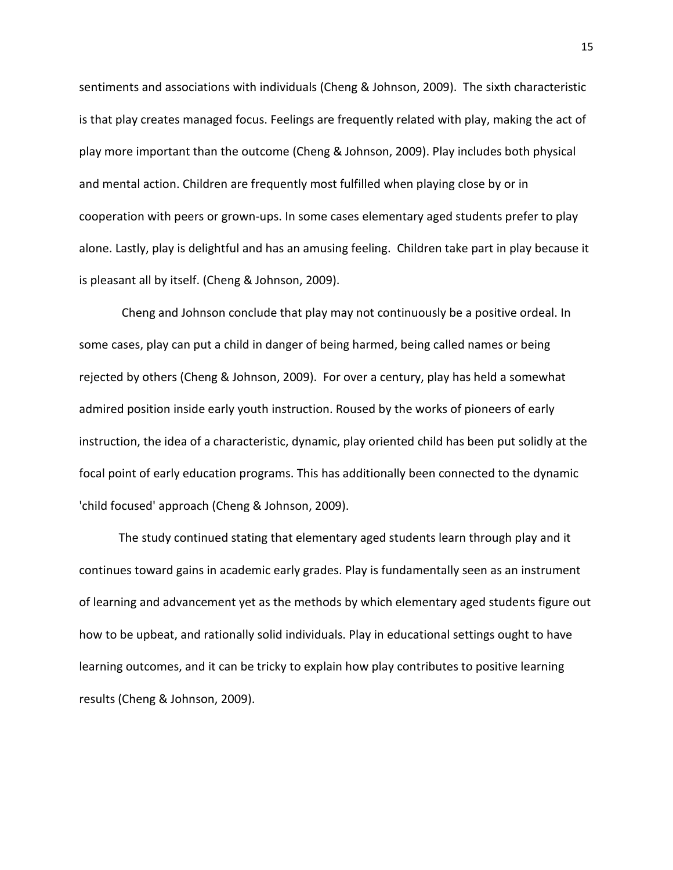sentiments and associations with individuals (Cheng & Johnson, 2009). The sixth characteristic is that play creates managed focus. Feelings are frequently related with play, making the act of play more important than the outcome (Cheng & Johnson, 2009). Play includes both physical and mental action. Children are frequently most fulfilled when playing close by or in cooperation with peers or grown-ups. In some cases elementary aged students prefer to play alone. Lastly, play is delightful and has an amusing feeling. Children take part in play because it is pleasant all by itself. (Cheng & Johnson, 2009).

Cheng and Johnson conclude that play may not continuously be a positive ordeal. In some cases, play can put a child in danger of being harmed, being called names or being rejected by others (Cheng & Johnson, 2009). For over a century, play has held a somewhat admired position inside early youth instruction. Roused by the works of pioneers of early instruction, the idea of a characteristic, dynamic, play oriented child has been put solidly at the focal point of early education programs. This has additionally been connected to the dynamic 'child focused' approach (Cheng & Johnson, 2009).

The study continued stating that elementary aged students learn through play and it continues toward gains in academic early grades. Play is fundamentally seen as an instrument of learning and advancement yet as the methods by which elementary aged students figure out how to be upbeat, and rationally solid individuals. Play in educational settings ought to have learning outcomes, and it can be tricky to explain how play contributes to positive learning results (Cheng & Johnson, 2009).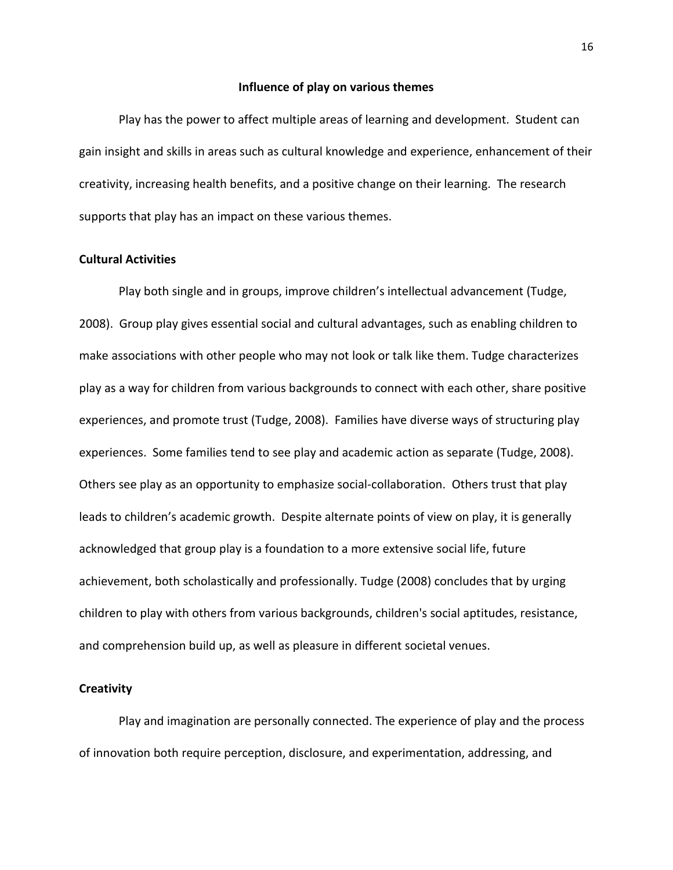#### **Influence of play on various themes**

Play has the power to affect multiple areas of learning and development. Student can gain insight and skills in areas such as cultural knowledge and experience, enhancement of their creativity, increasing health benefits, and a positive change on their learning. The research supports that play has an impact on these various themes.

## **Cultural Activities**

Play both single and in groups, improve children's intellectual advancement (Tudge, 2008). Group play gives essential social and cultural advantages, such as enabling children to make associations with other people who may not look or talk like them. Tudge characterizes play as a way for children from various backgrounds to connect with each other, share positive experiences, and promote trust (Tudge, 2008). Families have diverse ways of structuring play experiences. Some families tend to see play and academic action as separate (Tudge, 2008). Others see play as an opportunity to emphasize social-collaboration. Others trust that play leads to children's academic growth. Despite alternate points of view on play, it is generally acknowledged that group play is a foundation to a more extensive social life, future achievement, both scholastically and professionally. Tudge (2008) concludes that by urging children to play with others from various backgrounds, children's social aptitudes, resistance, and comprehension build up, as well as pleasure in different societal venues.

## **Creativity**

Play and imagination are personally connected. The experience of play and the process of innovation both require perception, disclosure, and experimentation, addressing, and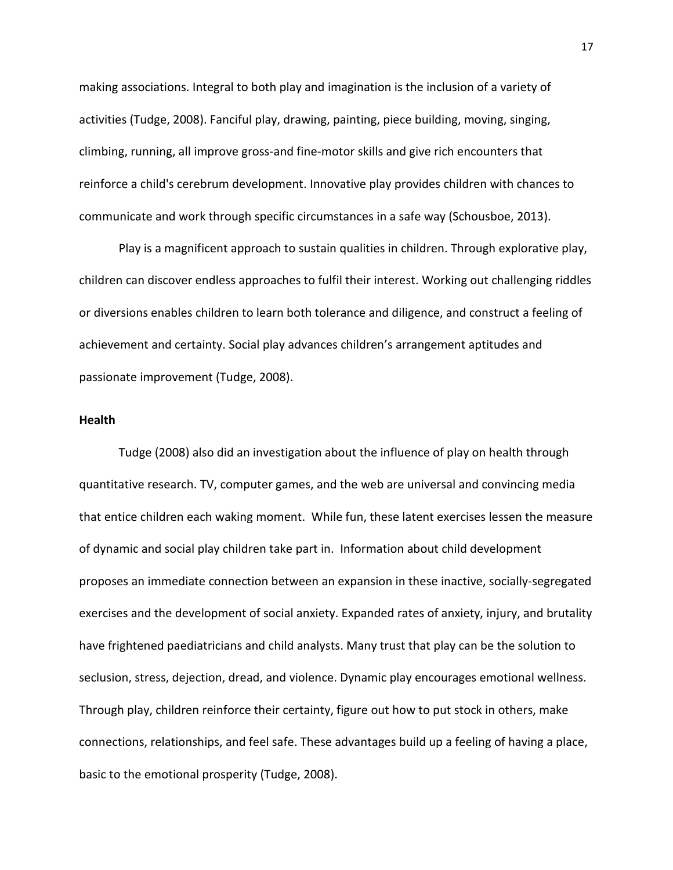making associations. Integral to both play and imagination is the inclusion of a variety of activities (Tudge, 2008). Fanciful play, drawing, painting, piece building, moving, singing, climbing, running, all improve gross-and fine-motor skills and give rich encounters that reinforce a child's cerebrum development. Innovative play provides children with chances to communicate and work through specific circumstances in a safe way (Schousboe, 2013).

Play is a magnificent approach to sustain qualities in children. Through explorative play, children can discover endless approaches to fulfil their interest. Working out challenging riddles or diversions enables children to learn both tolerance and diligence, and construct a feeling of achievement and certainty. Social play advances children's arrangement aptitudes and passionate improvement (Tudge, 2008).

## **Health**

Tudge (2008) also did an investigation about the influence of play on health through quantitative research. TV, computer games, and the web are universal and convincing media that entice children each waking moment. While fun, these latent exercises lessen the measure of dynamic and social play children take part in. Information about child development proposes an immediate connection between an expansion in these inactive, socially-segregated exercises and the development of social anxiety. Expanded rates of anxiety, injury, and brutality have frightened paediatricians and child analysts. Many trust that play can be the solution to seclusion, stress, dejection, dread, and violence. Dynamic play encourages emotional wellness. Through play, children reinforce their certainty, figure out how to put stock in others, make connections, relationships, and feel safe. These advantages build up a feeling of having a place, basic to the emotional prosperity (Tudge, 2008).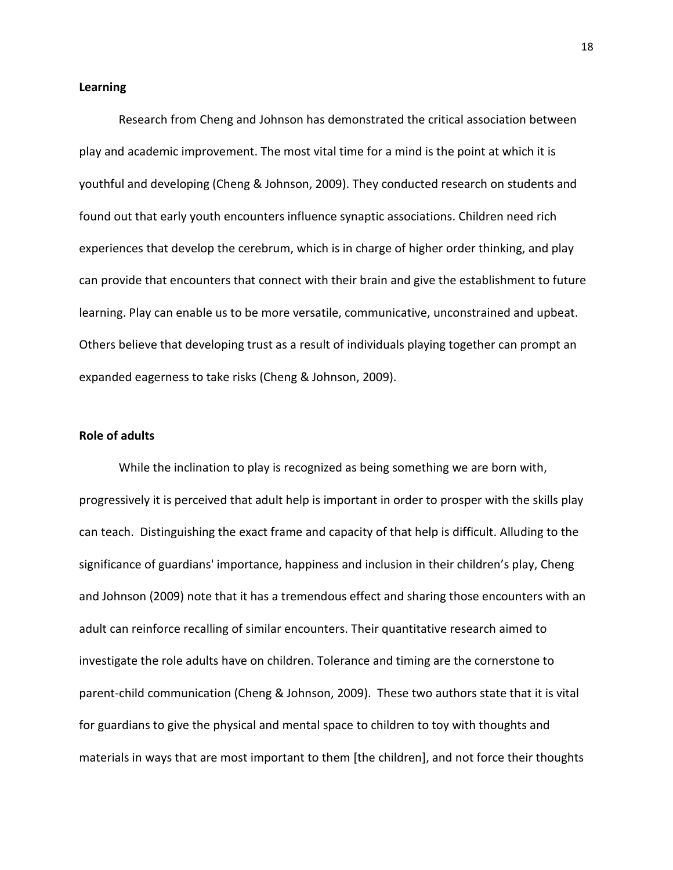#### **Learning**

Research from Cheng and Johnson has demonstrated the critical association between play and academic improvement. The most vital time for a mind is the point at which it is youthful and developing (Cheng & Johnson, 2009). They conducted research on students and found out that early youth encounters influence synaptic associations. Children need rich experiences that develop the cerebrum, which is in charge of higher order thinking, and play can provide that encounters that connect with their brain and give the establishment to future learning. Play can enable us to be more versatile, communicative, unconstrained and upbeat. Others believe that developing trust as a result of individuals playing together can prompt an expanded eagerness to take risks (Cheng & Johnson, 2009).

## **Role of adults**

While the inclination to play is recognized as being something we are born with, progressively it is perceived that adult help is important in order to prosper with the skills play can teach. Distinguishing the exact frame and capacity of that help is difficult. Alluding to the significance of guardians' importance, happiness and inclusion in their children's play, Cheng and Johnson (2009) note that it has a tremendous effect and sharing those encounters with an adult can reinforce recalling of similar encounters. Their quantitative research aimed to investigate the role adults have on children. Tolerance and timing are the cornerstone to parent-child communication (Cheng & Johnson, 2009). These two authors state that it is vital for guardians to give the physical and mental space to children to toy with thoughts and materials in ways that are most important to them [the children], and not force their thoughts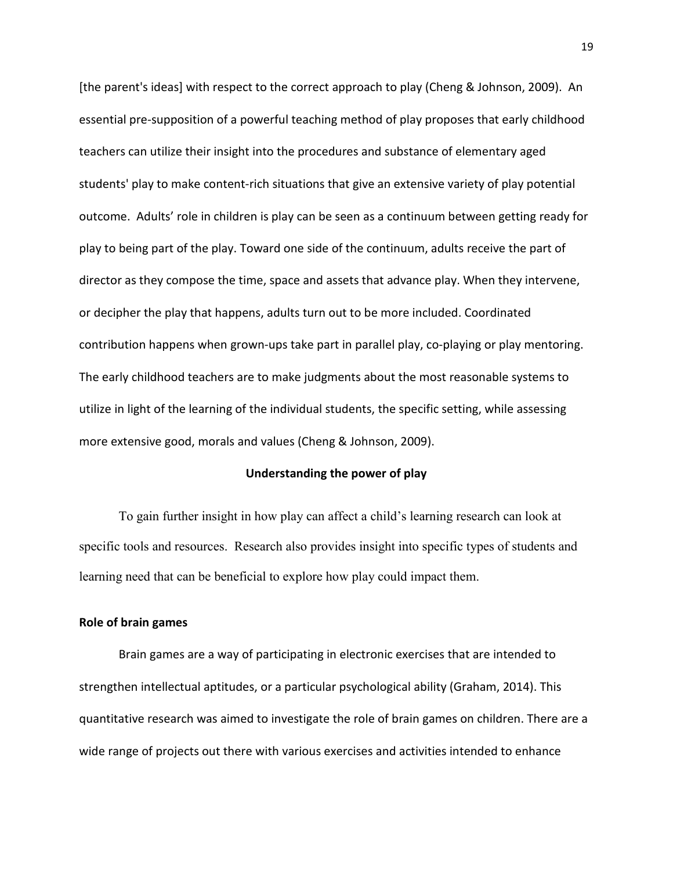[the parent's ideas] with respect to the correct approach to play (Cheng & Johnson, 2009). An essential pre-supposition of a powerful teaching method of play proposes that early childhood teachers can utilize their insight into the procedures and substance of elementary aged students' play to make content-rich situations that give an extensive variety of play potential outcome. Adults' role in children is play can be seen as a continuum between getting ready for play to being part of the play. Toward one side of the continuum, adults receive the part of director as they compose the time, space and assets that advance play. When they intervene, or decipher the play that happens, adults turn out to be more included. Coordinated contribution happens when grown-ups take part in parallel play, co-playing or play mentoring. The early childhood teachers are to make judgments about the most reasonable systems to utilize in light of the learning of the individual students, the specific setting, while assessing more extensive good, morals and values (Cheng & Johnson, 2009).

## **Understanding the power of play**

To gain further insight in how play can affect a child's learning research can look at specific tools and resources. Research also provides insight into specific types of students and learning need that can be beneficial to explore how play could impact them.

## **Role of brain games**

Brain games are a way of participating in electronic exercises that are intended to strengthen intellectual aptitudes, or a particular psychological ability (Graham, 2014). This quantitative research was aimed to investigate the role of brain games on children. There are a wide range of projects out there with various exercises and activities intended to enhance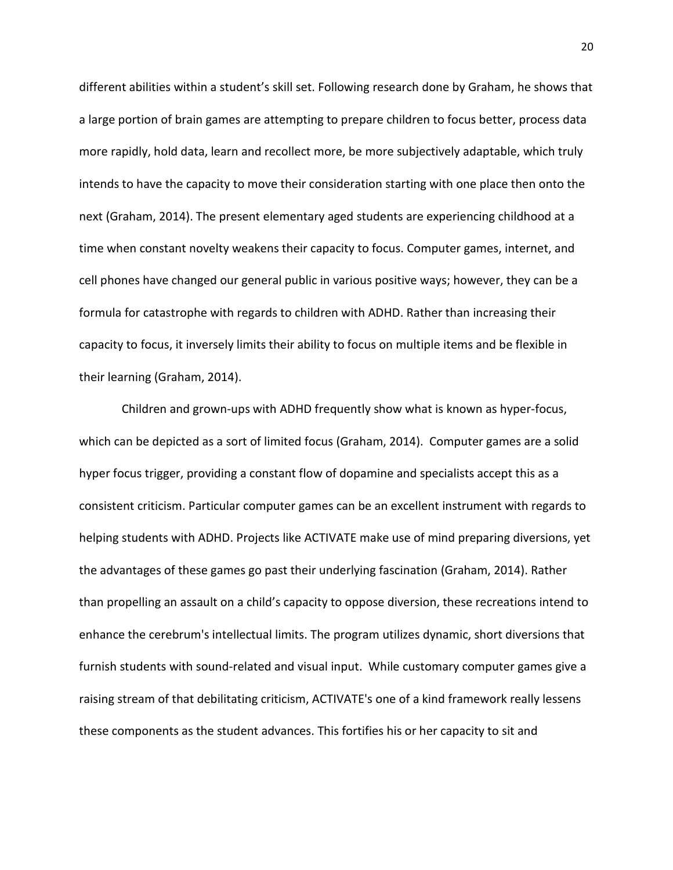different abilities within a student's skill set. Following research done by Graham, he shows that a large portion of brain games are attempting to prepare children to focus better, process data more rapidly, hold data, learn and recollect more, be more subjectively adaptable, which truly intends to have the capacity to move their consideration starting with one place then onto the next (Graham, 2014). The present elementary aged students are experiencing childhood at a time when constant novelty weakens their capacity to focus. Computer games, internet, and cell phones have changed our general public in various positive ways; however, they can be a formula for catastrophe with regards to children with ADHD. Rather than increasing their capacity to focus, it inversely limits their ability to focus on multiple items and be flexible in their learning (Graham, 2014).

Children and grown-ups with ADHD frequently show what is known as hyper-focus, which can be depicted as a sort of limited focus (Graham, 2014). Computer games are a solid hyper focus trigger, providing a constant flow of dopamine and specialists accept this as a consistent criticism. Particular computer games can be an excellent instrument with regards to helping students with ADHD. Projects like ACTIVATE make use of mind preparing diversions, yet the advantages of these games go past their underlying fascination (Graham, 2014). Rather than propelling an assault on a child's capacity to oppose diversion, these recreations intend to enhance the cerebrum's intellectual limits. The program utilizes dynamic, short diversions that furnish students with sound-related and visual input. While customary computer games give a raising stream of that debilitating criticism, ACTIVATE's one of a kind framework really lessens these components as the student advances. This fortifies his or her capacity to sit and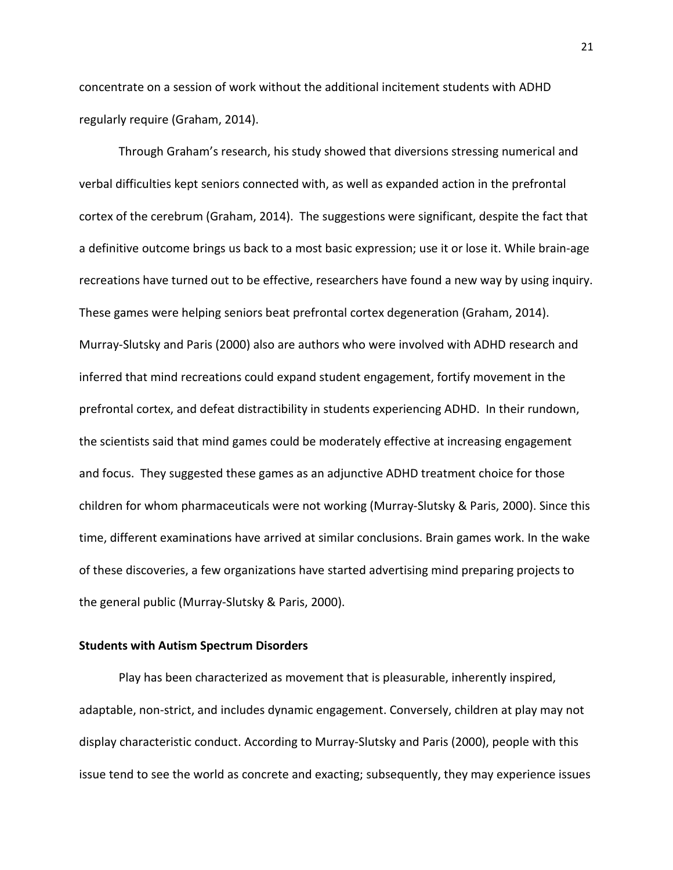concentrate on a session of work without the additional incitement students with ADHD regularly require (Graham, 2014).

Through Graham's research, his study showed that diversions stressing numerical and verbal difficulties kept seniors connected with, as well as expanded action in the prefrontal cortex of the cerebrum (Graham, 2014). The suggestions were significant, despite the fact that a definitive outcome brings us back to a most basic expression; use it or lose it. While brain-age recreations have turned out to be effective, researchers have found a new way by using inquiry. These games were helping seniors beat prefrontal cortex degeneration (Graham, 2014). Murray-Slutsky and Paris (2000) also are authors who were involved with ADHD research and inferred that mind recreations could expand student engagement, fortify movement in the prefrontal cortex, and defeat distractibility in students experiencing ADHD. In their rundown, the scientists said that mind games could be moderately effective at increasing engagement and focus. They suggested these games as an adjunctive ADHD treatment choice for those children for whom pharmaceuticals were not working (Murray-Slutsky & Paris, 2000). Since this time, different examinations have arrived at similar conclusions. Brain games work. In the wake of these discoveries, a few organizations have started advertising mind preparing projects to the general public (Murray-Slutsky & Paris, 2000).

## **Students with Autism Spectrum Disorders**

Play has been characterized as movement that is pleasurable, inherently inspired, adaptable, non-strict, and includes dynamic engagement. Conversely, children at play may not display characteristic conduct. According to Murray-Slutsky and Paris (2000), people with this issue tend to see the world as concrete and exacting; subsequently, they may experience issues

21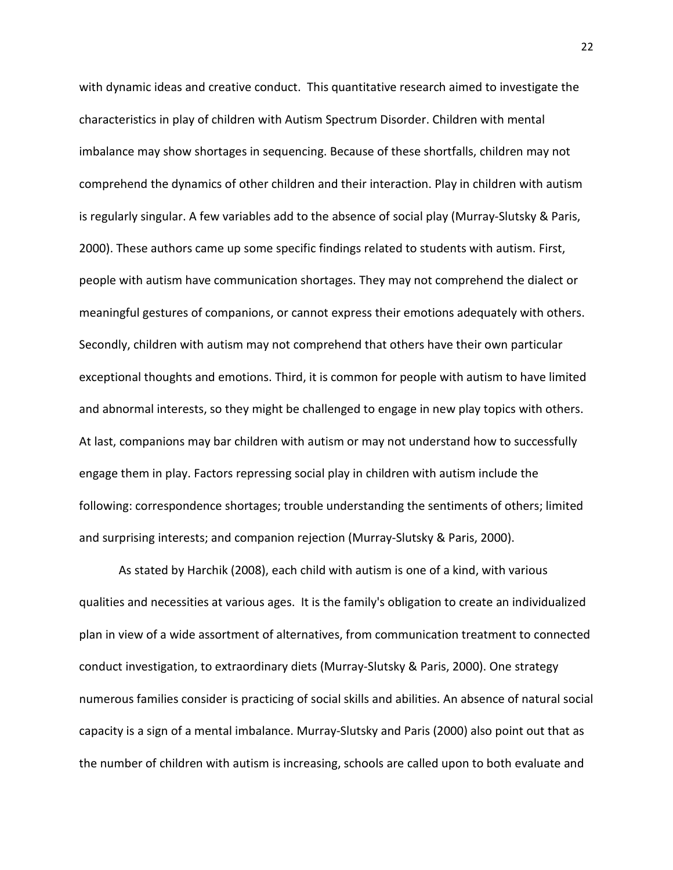with dynamic ideas and creative conduct. This quantitative research aimed to investigate the characteristics in play of children with Autism Spectrum Disorder. Children with mental imbalance may show shortages in sequencing. Because of these shortfalls, children may not comprehend the dynamics of other children and their interaction. Play in children with autism is regularly singular. A few variables add to the absence of social play (Murray-Slutsky & Paris, 2000). These authors came up some specific findings related to students with autism. First, people with autism have communication shortages. They may not comprehend the dialect or meaningful gestures of companions, or cannot express their emotions adequately with others. Secondly, children with autism may not comprehend that others have their own particular exceptional thoughts and emotions. Third, it is common for people with autism to have limited and abnormal interests, so they might be challenged to engage in new play topics with others. At last, companions may bar children with autism or may not understand how to successfully engage them in play. Factors repressing social play in children with autism include the following: correspondence shortages; trouble understanding the sentiments of others; limited and surprising interests; and companion rejection (Murray-Slutsky & Paris, 2000).

As stated by Harchik (2008), each child with autism is one of a kind, with various qualities and necessities at various ages. It is the family's obligation to create an individualized plan in view of a wide assortment of alternatives, from communication treatment to connected conduct investigation, to extraordinary diets (Murray-Slutsky & Paris, 2000). One strategy numerous families consider is practicing of social skills and abilities. An absence of natural social capacity is a sign of a mental imbalance. Murray-Slutsky and Paris (2000) also point out that as the number of children with autism is increasing, schools are called upon to both evaluate and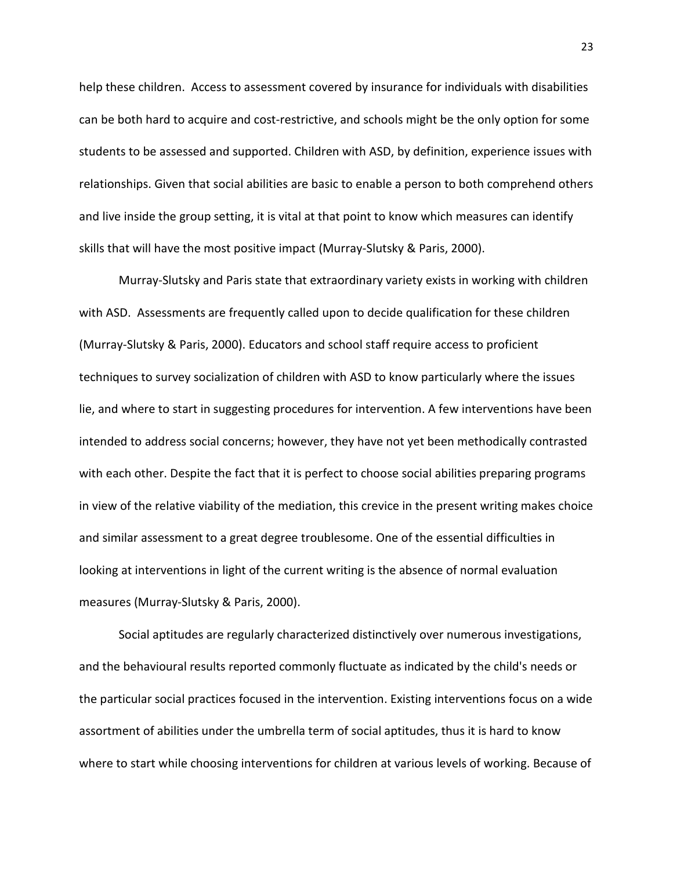help these children. Access to assessment covered by insurance for individuals with disabilities can be both hard to acquire and cost-restrictive, and schools might be the only option for some students to be assessed and supported. Children with ASD, by definition, experience issues with relationships. Given that social abilities are basic to enable a person to both comprehend others and live inside the group setting, it is vital at that point to know which measures can identify skills that will have the most positive impact (Murray-Slutsky & Paris, 2000).

Murray-Slutsky and Paris state that extraordinary variety exists in working with children with ASD. Assessments are frequently called upon to decide qualification for these children (Murray-Slutsky & Paris, 2000). Educators and school staff require access to proficient techniques to survey socialization of children with ASD to know particularly where the issues lie, and where to start in suggesting procedures for intervention. A few interventions have been intended to address social concerns; however, they have not yet been methodically contrasted with each other. Despite the fact that it is perfect to choose social abilities preparing programs in view of the relative viability of the mediation, this crevice in the present writing makes choice and similar assessment to a great degree troublesome. One of the essential difficulties in looking at interventions in light of the current writing is the absence of normal evaluation measures (Murray-Slutsky & Paris, 2000).

Social aptitudes are regularly characterized distinctively over numerous investigations, and the behavioural results reported commonly fluctuate as indicated by the child's needs or the particular social practices focused in the intervention. Existing interventions focus on a wide assortment of abilities under the umbrella term of social aptitudes, thus it is hard to know where to start while choosing interventions for children at various levels of working. Because of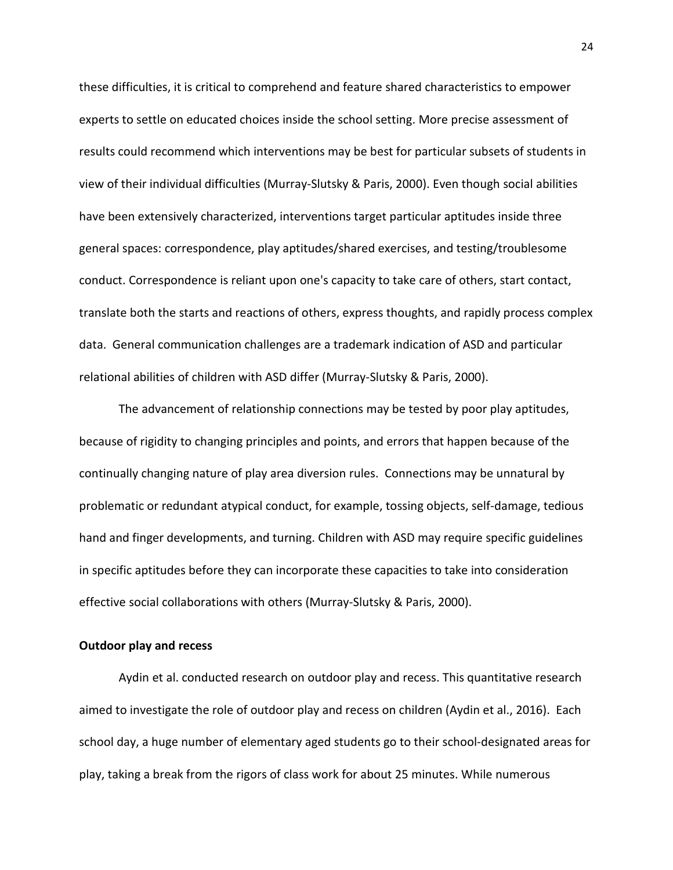these difficulties, it is critical to comprehend and feature shared characteristics to empower experts to settle on educated choices inside the school setting. More precise assessment of results could recommend which interventions may be best for particular subsets of students in view of their individual difficulties (Murray-Slutsky & Paris, 2000). Even though social abilities have been extensively characterized, interventions target particular aptitudes inside three general spaces: correspondence, play aptitudes/shared exercises, and testing/troublesome conduct. Correspondence is reliant upon one's capacity to take care of others, start contact, translate both the starts and reactions of others, express thoughts, and rapidly process complex data. General communication challenges are a trademark indication of ASD and particular relational abilities of children with ASD differ (Murray-Slutsky & Paris, 2000).

The advancement of relationship connections may be tested by poor play aptitudes, because of rigidity to changing principles and points, and errors that happen because of the continually changing nature of play area diversion rules. Connections may be unnatural by problematic or redundant atypical conduct, for example, tossing objects, self-damage, tedious hand and finger developments, and turning. Children with ASD may require specific guidelines in specific aptitudes before they can incorporate these capacities to take into consideration effective social collaborations with others (Murray-Slutsky & Paris, 2000).

## **Outdoor play and recess**

Aydin et al. conducted research on outdoor play and recess. This quantitative research aimed to investigate the role of outdoor play and recess on children (Aydin et al., 2016). Each school day, a huge number of elementary aged students go to their school-designated areas for play, taking a break from the rigors of class work for about 25 minutes. While numerous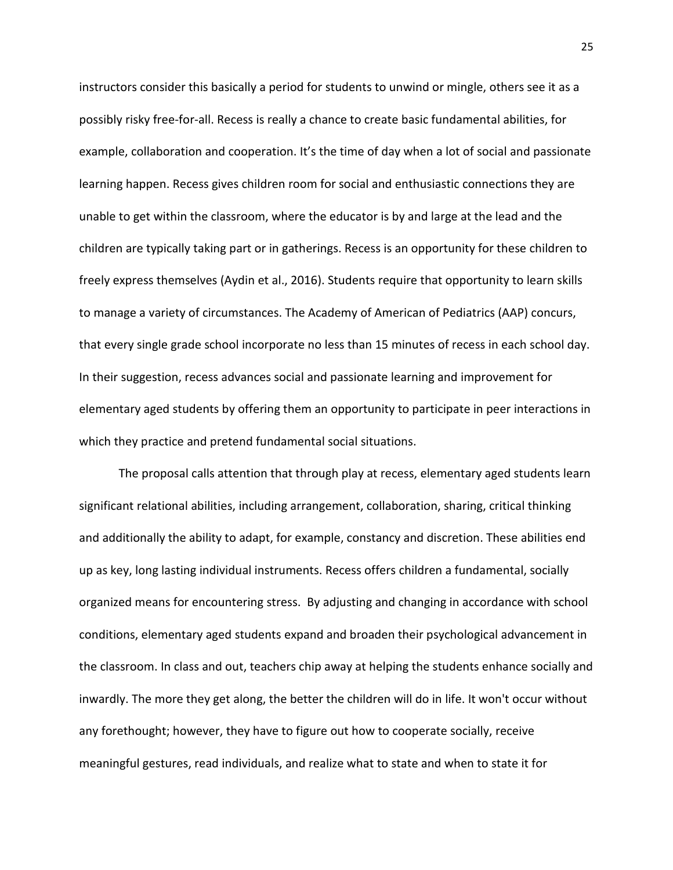instructors consider this basically a period for students to unwind or mingle, others see it as a possibly risky free-for-all. Recess is really a chance to create basic fundamental abilities, for example, collaboration and cooperation. It's the time of day when a lot of social and passionate learning happen. Recess gives children room for social and enthusiastic connections they are unable to get within the classroom, where the educator is by and large at the lead and the children are typically taking part or in gatherings. Recess is an opportunity for these children to freely express themselves (Aydin et al., 2016). Students require that opportunity to learn skills to manage a variety of circumstances. The Academy of American of Pediatrics (AAP) concurs, that every single grade school incorporate no less than 15 minutes of recess in each school day. In their suggestion, recess advances social and passionate learning and improvement for elementary aged students by offering them an opportunity to participate in peer interactions in which they practice and pretend fundamental social situations.

The proposal calls attention that through play at recess, elementary aged students learn significant relational abilities, including arrangement, collaboration, sharing, critical thinking and additionally the ability to adapt, for example, constancy and discretion. These abilities end up as key, long lasting individual instruments. Recess offers children a fundamental, socially organized means for encountering stress. By adjusting and changing in accordance with school conditions, elementary aged students expand and broaden their psychological advancement in the classroom. In class and out, teachers chip away at helping the students enhance socially and inwardly. The more they get along, the better the children will do in life. It won't occur without any forethought; however, they have to figure out how to cooperate socially, receive meaningful gestures, read individuals, and realize what to state and when to state it for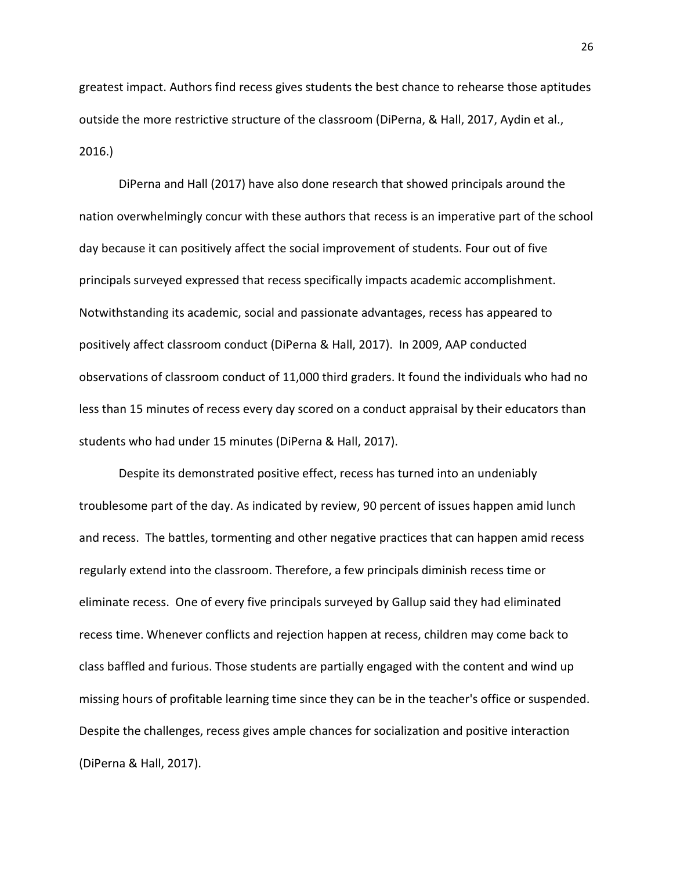greatest impact. Authors find recess gives students the best chance to rehearse those aptitudes outside the more restrictive structure of the classroom (DiPerna, & Hall, 2017, Aydin et al., 2016.)

DiPerna and Hall (2017) have also done research that showed principals around the nation overwhelmingly concur with these authors that recess is an imperative part of the school day because it can positively affect the social improvement of students. Four out of five principals surveyed expressed that recess specifically impacts academic accomplishment. Notwithstanding its academic, social and passionate advantages, recess has appeared to positively affect classroom conduct (DiPerna & Hall, 2017). In 2009, AAP conducted observations of classroom conduct of 11,000 third graders. It found the individuals who had no less than 15 minutes of recess every day scored on a conduct appraisal by their educators than students who had under 15 minutes (DiPerna & Hall, 2017).

Despite its demonstrated positive effect, recess has turned into an undeniably troublesome part of the day. As indicated by review, 90 percent of issues happen amid lunch and recess. The battles, tormenting and other negative practices that can happen amid recess regularly extend into the classroom. Therefore, a few principals diminish recess time or eliminate recess. One of every five principals surveyed by Gallup said they had eliminated recess time. Whenever conflicts and rejection happen at recess, children may come back to class baffled and furious. Those students are partially engaged with the content and wind up missing hours of profitable learning time since they can be in the teacher's office or suspended. Despite the challenges, recess gives ample chances for socialization and positive interaction (DiPerna & Hall, 2017).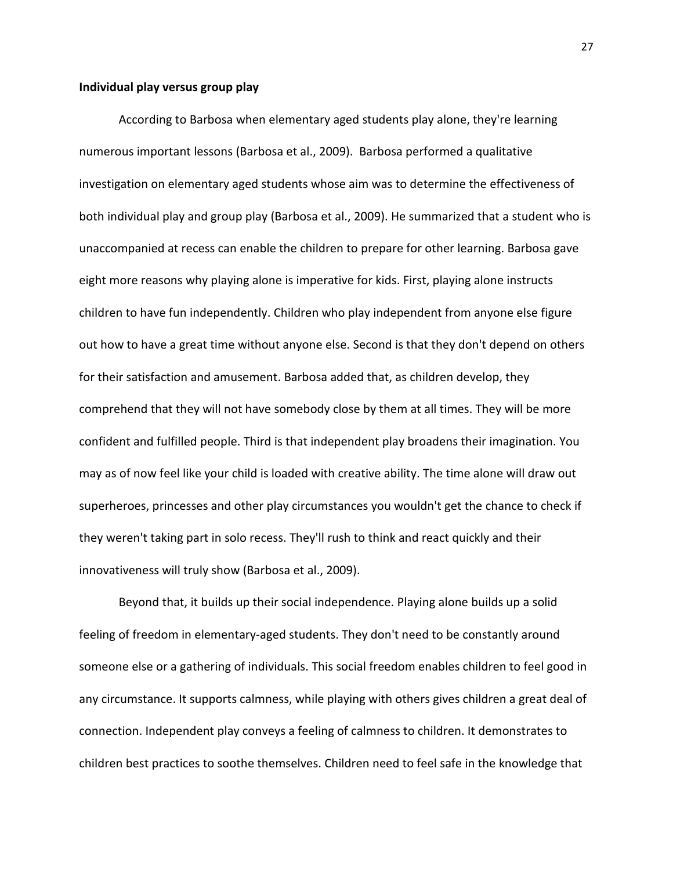## **Individual play versus group play**

According to Barbosa when elementary aged students play alone, they're learning numerous important lessons (Barbosa et al., 2009). Barbosa performed a qualitative investigation on elementary aged students whose aim was to determine the effectiveness of both individual play and group play (Barbosa et al., 2009). He summarized that a student who is unaccompanied at recess can enable the children to prepare for other learning. Barbosa gave eight more reasons why playing alone is imperative for kids. First, playing alone instructs children to have fun independently. Children who play independent from anyone else figure out how to have a great time without anyone else. Second is that they don't depend on others for their satisfaction and amusement. Barbosa added that, as children develop, they comprehend that they will not have somebody close by them at all times. They will be more confident and fulfilled people. Third is that independent play broadens their imagination. You may as of now feel like your child is loaded with creative ability. The time alone will draw out superheroes, princesses and other play circumstances you wouldn't get the chance to check if they weren't taking part in solo recess. They'll rush to think and react quickly and their innovativeness will truly show (Barbosa et al., 2009).

Beyond that, it builds up their social independence. Playing alone builds up a solid feeling of freedom in elementary-aged students. They don't need to be constantly around someone else or a gathering of individuals. This social freedom enables children to feel good in any circumstance. It supports calmness, while playing with others gives children a great deal of connection. Independent play conveys a feeling of calmness to children. It demonstrates to children best practices to soothe themselves. Children need to feel safe in the knowledge that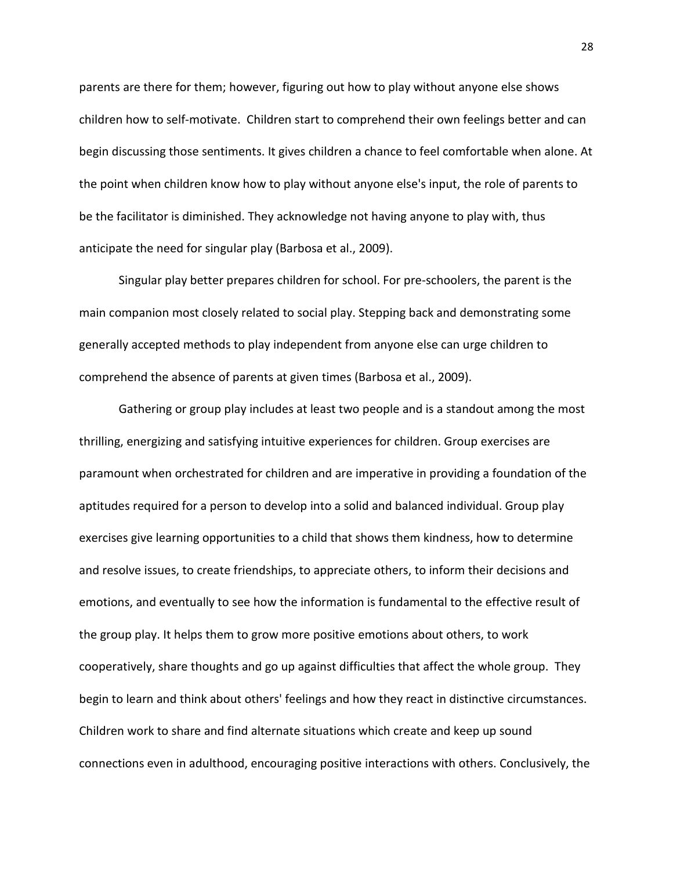parents are there for them; however, figuring out how to play without anyone else shows children how to self-motivate. Children start to comprehend their own feelings better and can begin discussing those sentiments. It gives children a chance to feel comfortable when alone. At the point when children know how to play without anyone else's input, the role of parents to be the facilitator is diminished. They acknowledge not having anyone to play with, thus anticipate the need for singular play (Barbosa et al., 2009).

Singular play better prepares children for school. For pre-schoolers, the parent is the main companion most closely related to social play. Stepping back and demonstrating some generally accepted methods to play independent from anyone else can urge children to comprehend the absence of parents at given times (Barbosa et al., 2009).

Gathering or group play includes at least two people and is a standout among the most thrilling, energizing and satisfying intuitive experiences for children. Group exercises are paramount when orchestrated for children and are imperative in providing a foundation of the aptitudes required for a person to develop into a solid and balanced individual. Group play exercises give learning opportunities to a child that shows them kindness, how to determine and resolve issues, to create friendships, to appreciate others, to inform their decisions and emotions, and eventually to see how the information is fundamental to the effective result of the group play. It helps them to grow more positive emotions about others, to work cooperatively, share thoughts and go up against difficulties that affect the whole group. They begin to learn and think about others' feelings and how they react in distinctive circumstances. Children work to share and find alternate situations which create and keep up sound connections even in adulthood, encouraging positive interactions with others. Conclusively, the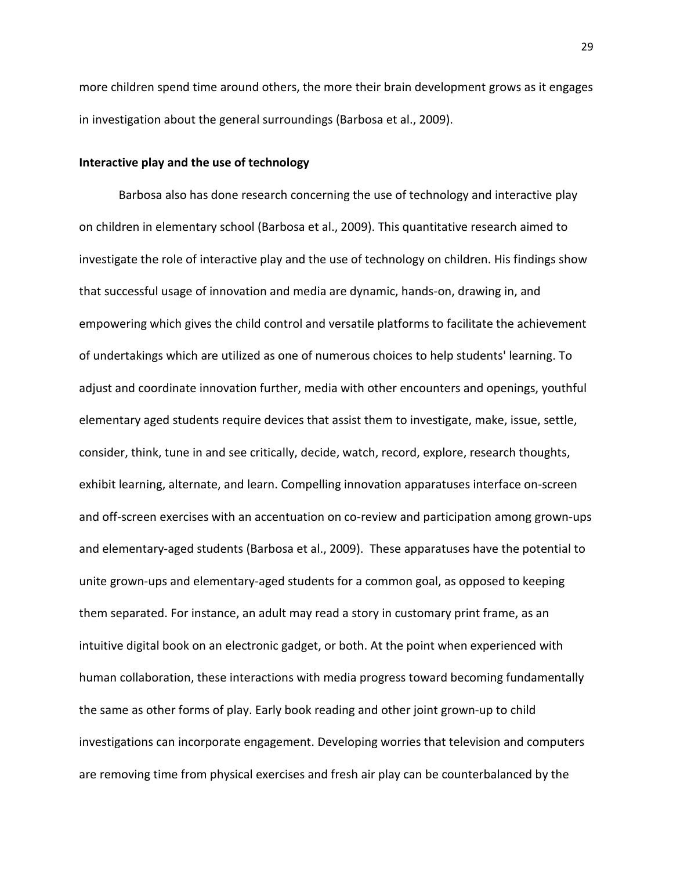more children spend time around others, the more their brain development grows as it engages in investigation about the general surroundings (Barbosa et al., 2009).

## **Interactive play and the use of technology**

Barbosa also has done research concerning the use of technology and interactive play on children in elementary school (Barbosa et al., 2009). This quantitative research aimed to investigate the role of interactive play and the use of technology on children. His findings show that successful usage of innovation and media are dynamic, hands-on, drawing in, and empowering which gives the child control and versatile platforms to facilitate the achievement of undertakings which are utilized as one of numerous choices to help students' learning. To adjust and coordinate innovation further, media with other encounters and openings, youthful elementary aged students require devices that assist them to investigate, make, issue, settle, consider, think, tune in and see critically, decide, watch, record, explore, research thoughts, exhibit learning, alternate, and learn. Compelling innovation apparatuses interface on-screen and off-screen exercises with an accentuation on co-review and participation among grown-ups and elementary-aged students (Barbosa et al., 2009). These apparatuses have the potential to unite grown-ups and elementary-aged students for a common goal, as opposed to keeping them separated. For instance, an adult may read a story in customary print frame, as an intuitive digital book on an electronic gadget, or both. At the point when experienced with human collaboration, these interactions with media progress toward becoming fundamentally the same as other forms of play. Early book reading and other joint grown-up to child investigations can incorporate engagement. Developing worries that television and computers are removing time from physical exercises and fresh air play can be counterbalanced by the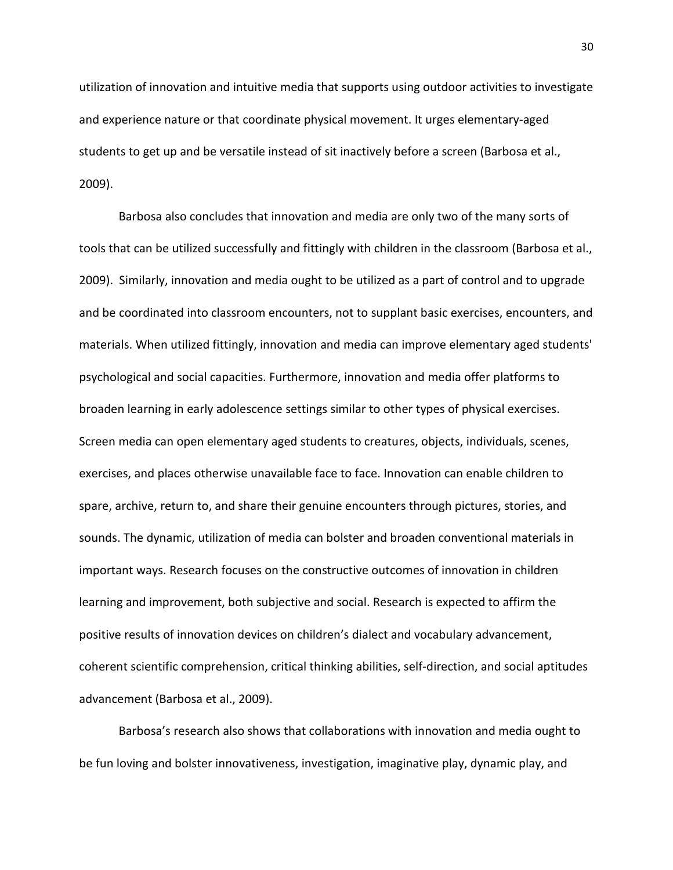utilization of innovation and intuitive media that supports using outdoor activities to investigate and experience nature or that coordinate physical movement. It urges elementary-aged students to get up and be versatile instead of sit inactively before a screen (Barbosa et al., 2009).

Barbosa also concludes that innovation and media are only two of the many sorts of tools that can be utilized successfully and fittingly with children in the classroom (Barbosa et al., 2009). Similarly, innovation and media ought to be utilized as a part of control and to upgrade and be coordinated into classroom encounters, not to supplant basic exercises, encounters, and materials. When utilized fittingly, innovation and media can improve elementary aged students' psychological and social capacities. Furthermore, innovation and media offer platforms to broaden learning in early adolescence settings similar to other types of physical exercises. Screen media can open elementary aged students to creatures, objects, individuals, scenes, exercises, and places otherwise unavailable face to face. Innovation can enable children to spare, archive, return to, and share their genuine encounters through pictures, stories, and sounds. The dynamic, utilization of media can bolster and broaden conventional materials in important ways. Research focuses on the constructive outcomes of innovation in children learning and improvement, both subjective and social. Research is expected to affirm the positive results of innovation devices on children's dialect and vocabulary advancement, coherent scientific comprehension, critical thinking abilities, self-direction, and social aptitudes advancement (Barbosa et al., 2009).

Barbosa's research also shows that collaborations with innovation and media ought to be fun loving and bolster innovativeness, investigation, imaginative play, dynamic play, and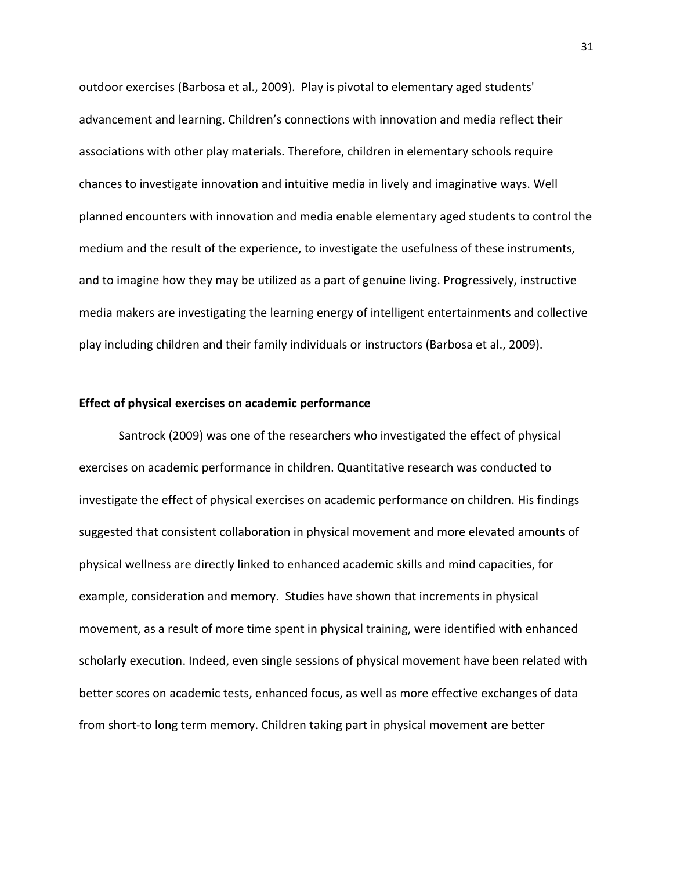outdoor exercises (Barbosa et al., 2009). Play is pivotal to elementary aged students' advancement and learning. Children's connections with innovation and media reflect their associations with other play materials. Therefore, children in elementary schools require chances to investigate innovation and intuitive media in lively and imaginative ways. Well planned encounters with innovation and media enable elementary aged students to control the medium and the result of the experience, to investigate the usefulness of these instruments, and to imagine how they may be utilized as a part of genuine living. Progressively, instructive media makers are investigating the learning energy of intelligent entertainments and collective play including children and their family individuals or instructors (Barbosa et al., 2009).

### **Effect of physical exercises on academic performance**

Santrock (2009) was one of the researchers who investigated the effect of physical exercises on academic performance in children. Quantitative research was conducted to investigate the effect of physical exercises on academic performance on children. His findings suggested that consistent collaboration in physical movement and more elevated amounts of physical wellness are directly linked to enhanced academic skills and mind capacities, for example, consideration and memory. Studies have shown that increments in physical movement, as a result of more time spent in physical training, were identified with enhanced scholarly execution. Indeed, even single sessions of physical movement have been related with better scores on academic tests, enhanced focus, as well as more effective exchanges of data from short-to long term memory. Children taking part in physical movement are better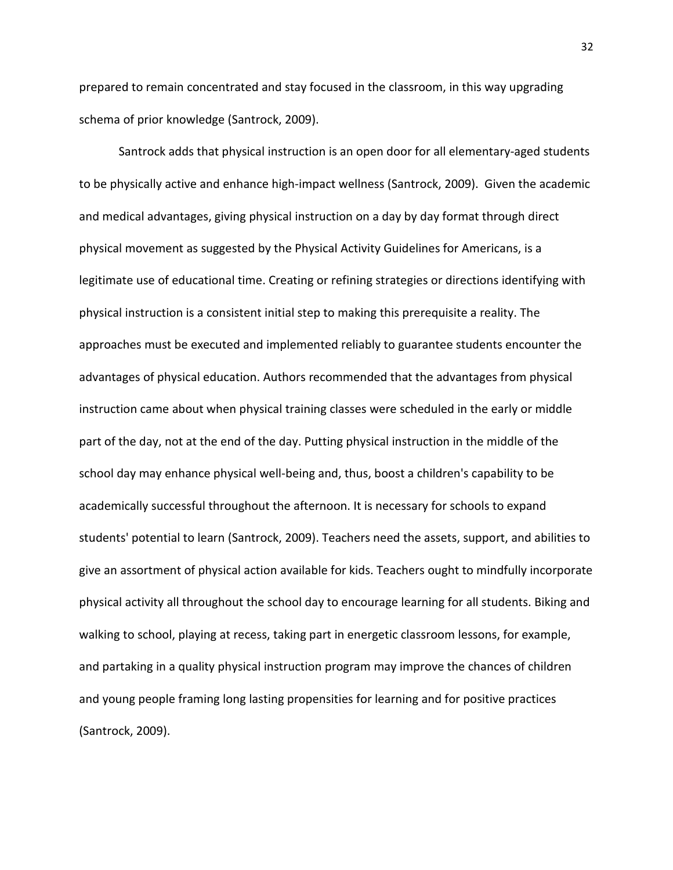prepared to remain concentrated and stay focused in the classroom, in this way upgrading schema of prior knowledge (Santrock, 2009).

Santrock adds that physical instruction is an open door for all elementary-aged students to be physically active and enhance high-impact wellness (Santrock, 2009). Given the academic and medical advantages, giving physical instruction on a day by day format through direct physical movement as suggested by the Physical Activity Guidelines for Americans, is a legitimate use of educational time. Creating or refining strategies or directions identifying with physical instruction is a consistent initial step to making this prerequisite a reality. The approaches must be executed and implemented reliably to guarantee students encounter the advantages of physical education. Authors recommended that the advantages from physical instruction came about when physical training classes were scheduled in the early or middle part of the day, not at the end of the day. Putting physical instruction in the middle of the school day may enhance physical well-being and, thus, boost a children's capability to be academically successful throughout the afternoon. It is necessary for schools to expand students' potential to learn (Santrock, 2009). Teachers need the assets, support, and abilities to give an assortment of physical action available for kids. Teachers ought to mindfully incorporate physical activity all throughout the school day to encourage learning for all students. Biking and walking to school, playing at recess, taking part in energetic classroom lessons, for example, and partaking in a quality physical instruction program may improve the chances of children and young people framing long lasting propensities for learning and for positive practices (Santrock, 2009).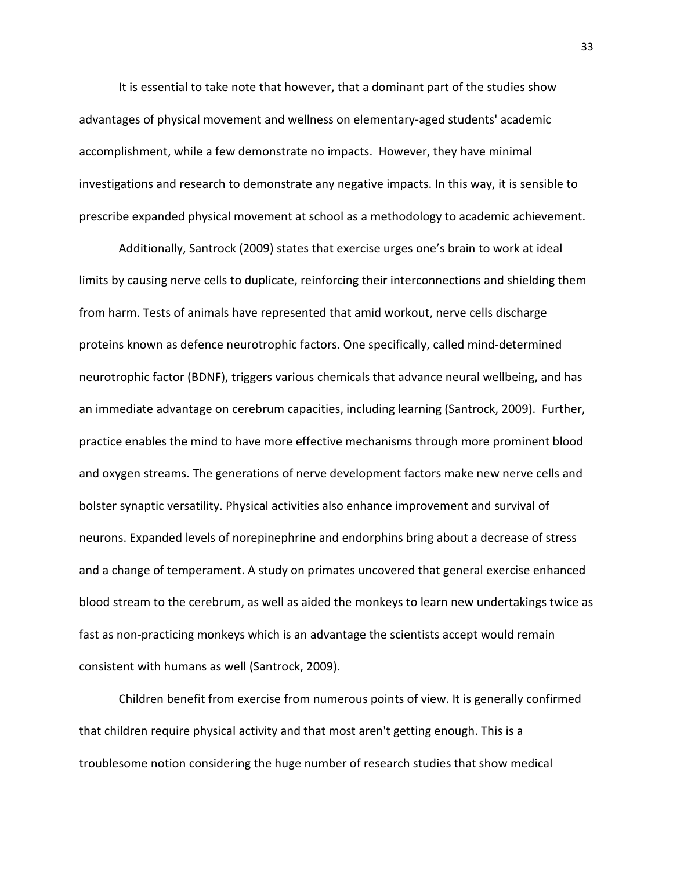It is essential to take note that however, that a dominant part of the studies show advantages of physical movement and wellness on elementary-aged students' academic accomplishment, while a few demonstrate no impacts. However, they have minimal investigations and research to demonstrate any negative impacts. In this way, it is sensible to prescribe expanded physical movement at school as a methodology to academic achievement.

Additionally, Santrock (2009) states that exercise urges one's brain to work at ideal limits by causing nerve cells to duplicate, reinforcing their interconnections and shielding them from harm. Tests of animals have represented that amid workout, nerve cells discharge proteins known as defence neurotrophic factors. One specifically, called mind-determined neurotrophic factor (BDNF), triggers various chemicals that advance neural wellbeing, and has an immediate advantage on cerebrum capacities, including learning (Santrock, 2009). Further, practice enables the mind to have more effective mechanisms through more prominent blood and oxygen streams. The generations of nerve development factors make new nerve cells and bolster synaptic versatility. Physical activities also enhance improvement and survival of neurons. Expanded levels of norepinephrine and endorphins bring about a decrease of stress and a change of temperament. A study on primates uncovered that general exercise enhanced blood stream to the cerebrum, as well as aided the monkeys to learn new undertakings twice as fast as non-practicing monkeys which is an advantage the scientists accept would remain consistent with humans as well (Santrock, 2009).

Children benefit from exercise from numerous points of view. It is generally confirmed that children require physical activity and that most aren't getting enough. This is a troublesome notion considering the huge number of research studies that show medical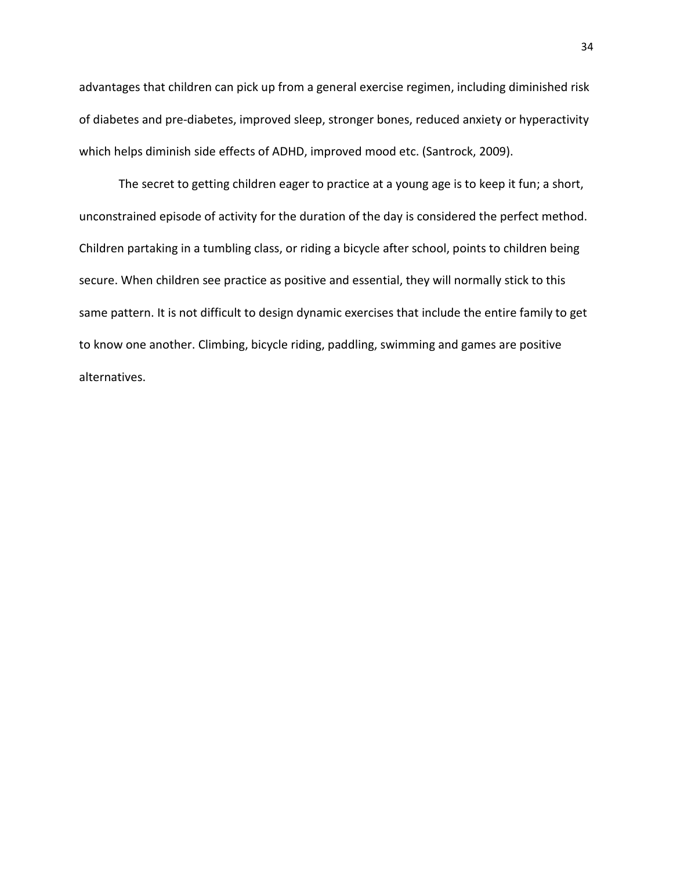advantages that children can pick up from a general exercise regimen, including diminished risk of diabetes and pre-diabetes, improved sleep, stronger bones, reduced anxiety or hyperactivity which helps diminish side effects of ADHD, improved mood etc. (Santrock, 2009).

The secret to getting children eager to practice at a young age is to keep it fun; a short, unconstrained episode of activity for the duration of the day is considered the perfect method. Children partaking in a tumbling class, or riding a bicycle after school, points to children being secure. When children see practice as positive and essential, they will normally stick to this same pattern. It is not difficult to design dynamic exercises that include the entire family to get to know one another. Climbing, bicycle riding, paddling, swimming and games are positive alternatives.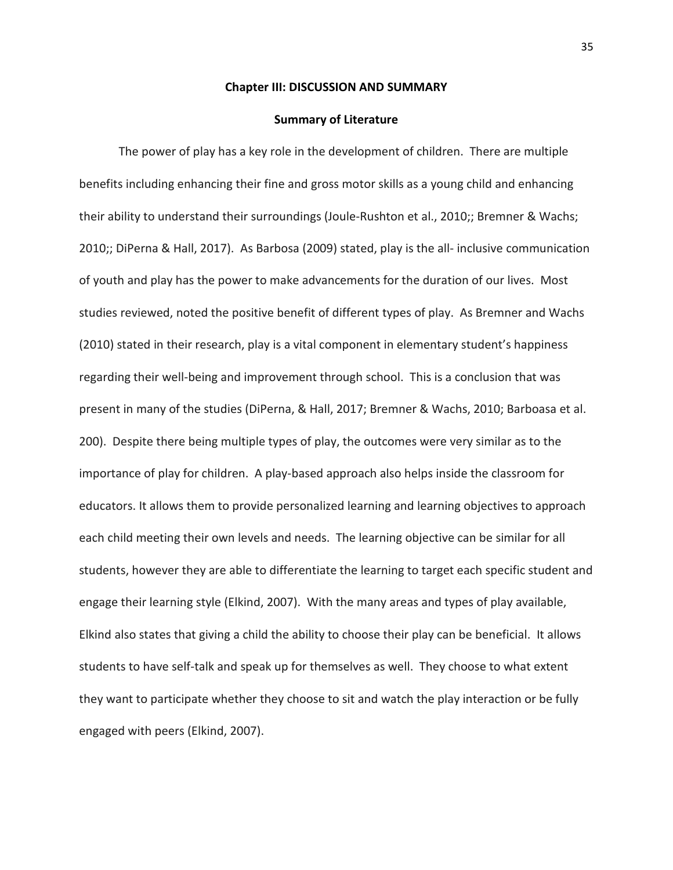#### **Chapter III: DISCUSSION AND SUMMARY**

#### **Summary of Literature**

The power of play has a key role in the development of children. There are multiple benefits including enhancing their fine and gross motor skills as a young child and enhancing their ability to understand their surroundings (Joule-Rushton et al., 2010;; Bremner & Wachs; 2010;; DiPerna & Hall, 2017). As Barbosa (2009) stated, play is the all- inclusive communication of youth and play has the power to make advancements for the duration of our lives. Most studies reviewed, noted the positive benefit of different types of play. As Bremner and Wachs (2010) stated in their research, play is a vital component in elementary student's happiness regarding their well-being and improvement through school. This is a conclusion that was present in many of the studies (DiPerna, & Hall, 2017; Bremner & Wachs, 2010; Barboasa et al. 200). Despite there being multiple types of play, the outcomes were very similar as to the importance of play for children. A play-based approach also helps inside the classroom for educators. It allows them to provide personalized learning and learning objectives to approach each child meeting their own levels and needs. The learning objective can be similar for all students, however they are able to differentiate the learning to target each specific student and engage their learning style (Elkind, 2007). With the many areas and types of play available, Elkind also states that giving a child the ability to choose their play can be beneficial. It allows students to have self-talk and speak up for themselves as well. They choose to what extent they want to participate whether they choose to sit and watch the play interaction or be fully engaged with peers (Elkind, 2007).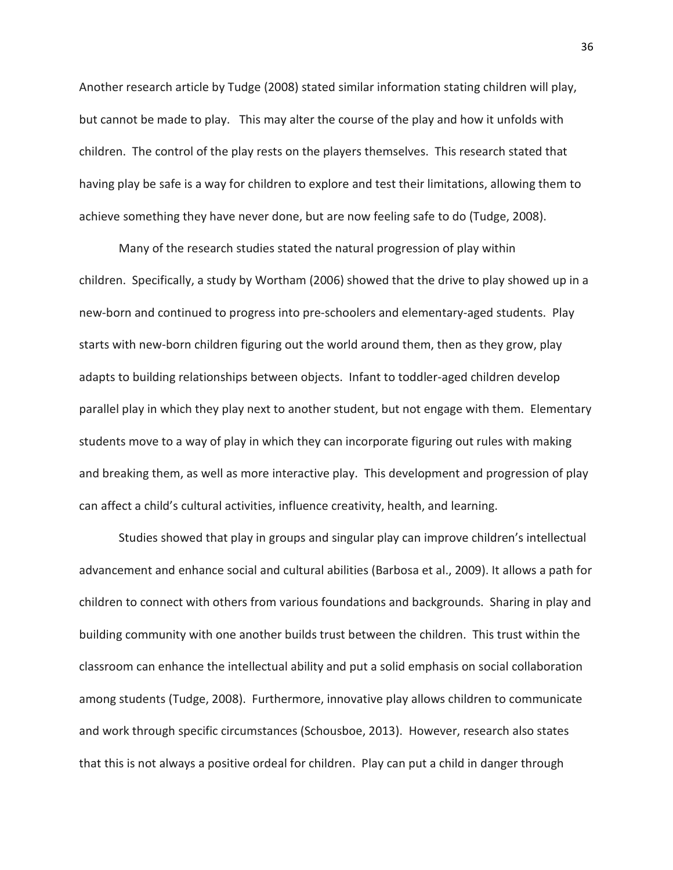Another research article by Tudge (2008) stated similar information stating children will play, but cannot be made to play. This may alter the course of the play and how it unfolds with children. The control of the play rests on the players themselves. This research stated that having play be safe is a way for children to explore and test their limitations, allowing them to achieve something they have never done, but are now feeling safe to do (Tudge, 2008).

Many of the research studies stated the natural progression of play within children. Specifically, a study by Wortham (2006) showed that the drive to play showed up in a new-born and continued to progress into pre-schoolers and elementary-aged students. Play starts with new-born children figuring out the world around them, then as they grow, play adapts to building relationships between objects. Infant to toddler-aged children develop parallel play in which they play next to another student, but not engage with them. Elementary students move to a way of play in which they can incorporate figuring out rules with making and breaking them, as well as more interactive play. This development and progression of play can affect a child's cultural activities, influence creativity, health, and learning.

Studies showed that play in groups and singular play can improve children's intellectual advancement and enhance social and cultural abilities (Barbosa et al., 2009). It allows a path for children to connect with others from various foundations and backgrounds. Sharing in play and building community with one another builds trust between the children. This trust within the classroom can enhance the intellectual ability and put a solid emphasis on social collaboration among students (Tudge, 2008). Furthermore, innovative play allows children to communicate and work through specific circumstances (Schousboe, 2013). However, research also states that this is not always a positive ordeal for children. Play can put a child in danger through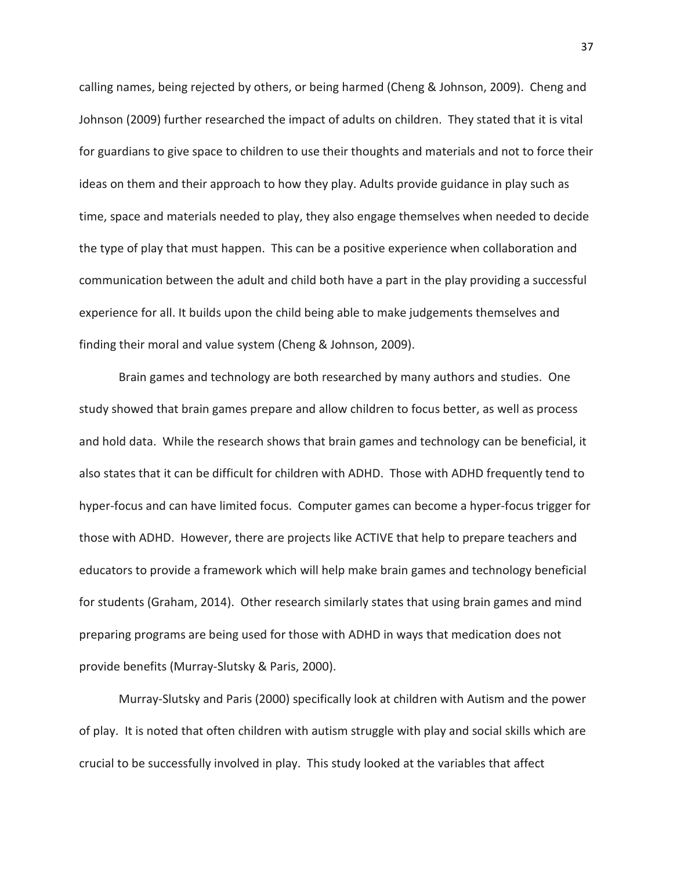calling names, being rejected by others, or being harmed (Cheng & Johnson, 2009). Cheng and Johnson (2009) further researched the impact of adults on children. They stated that it is vital for guardians to give space to children to use their thoughts and materials and not to force their ideas on them and their approach to how they play. Adults provide guidance in play such as time, space and materials needed to play, they also engage themselves when needed to decide the type of play that must happen. This can be a positive experience when collaboration and communication between the adult and child both have a part in the play providing a successful experience for all. It builds upon the child being able to make judgements themselves and finding their moral and value system (Cheng & Johnson, 2009).

Brain games and technology are both researched by many authors and studies. One study showed that brain games prepare and allow children to focus better, as well as process and hold data. While the research shows that brain games and technology can be beneficial, it also states that it can be difficult for children with ADHD. Those with ADHD frequently tend to hyper-focus and can have limited focus. Computer games can become a hyper-focus trigger for those with ADHD. However, there are projects like ACTIVE that help to prepare teachers and educators to provide a framework which will help make brain games and technology beneficial for students (Graham, 2014). Other research similarly states that using brain games and mind preparing programs are being used for those with ADHD in ways that medication does not provide benefits (Murray-Slutsky & Paris, 2000).

Murray-Slutsky and Paris (2000) specifically look at children with Autism and the power of play. It is noted that often children with autism struggle with play and social skills which are crucial to be successfully involved in play. This study looked at the variables that affect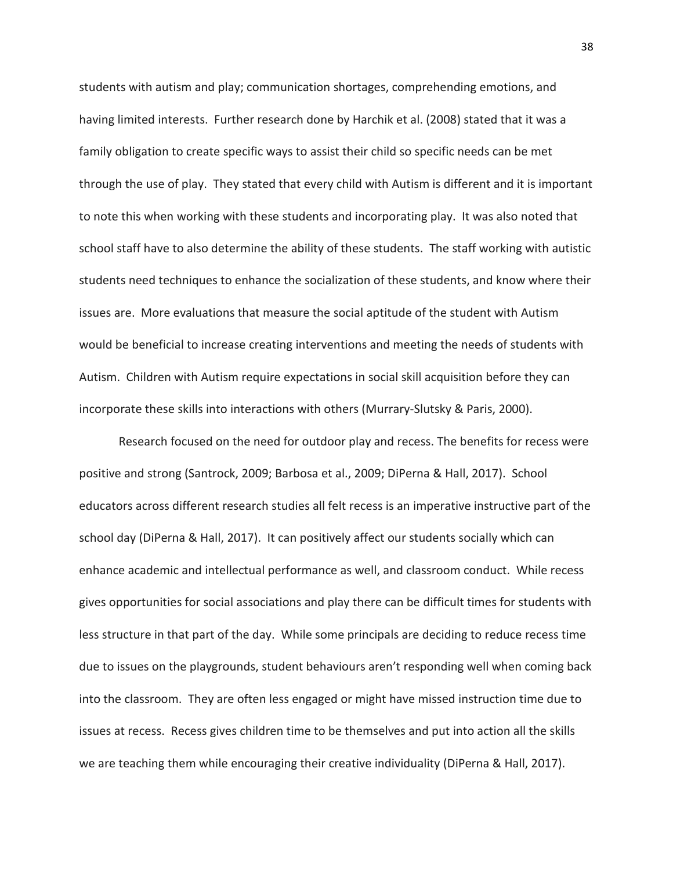students with autism and play; communication shortages, comprehending emotions, and having limited interests. Further research done by Harchik et al. (2008) stated that it was a family obligation to create specific ways to assist their child so specific needs can be met through the use of play. They stated that every child with Autism is different and it is important to note this when working with these students and incorporating play. It was also noted that school staff have to also determine the ability of these students. The staff working with autistic students need techniques to enhance the socialization of these students, and know where their issues are. More evaluations that measure the social aptitude of the student with Autism would be beneficial to increase creating interventions and meeting the needs of students with Autism. Children with Autism require expectations in social skill acquisition before they can incorporate these skills into interactions with others (Murrary-Slutsky & Paris, 2000).

Research focused on the need for outdoor play and recess. The benefits for recess were positive and strong (Santrock, 2009; Barbosa et al., 2009; DiPerna & Hall, 2017). School educators across different research studies all felt recess is an imperative instructive part of the school day (DiPerna & Hall, 2017). It can positively affect our students socially which can enhance academic and intellectual performance as well, and classroom conduct. While recess gives opportunities for social associations and play there can be difficult times for students with less structure in that part of the day. While some principals are deciding to reduce recess time due to issues on the playgrounds, student behaviours aren't responding well when coming back into the classroom. They are often less engaged or might have missed instruction time due to issues at recess. Recess gives children time to be themselves and put into action all the skills we are teaching them while encouraging their creative individuality (DiPerna & Hall, 2017).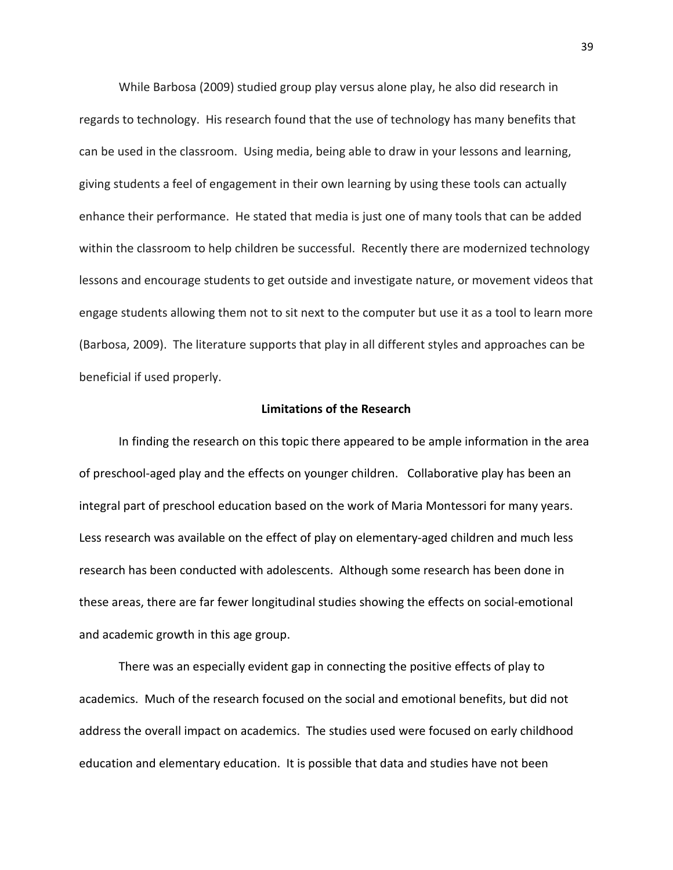While Barbosa (2009) studied group play versus alone play, he also did research in regards to technology. His research found that the use of technology has many benefits that can be used in the classroom. Using media, being able to draw in your lessons and learning, giving students a feel of engagement in their own learning by using these tools can actually enhance their performance. He stated that media is just one of many tools that can be added within the classroom to help children be successful. Recently there are modernized technology lessons and encourage students to get outside and investigate nature, or movement videos that engage students allowing them not to sit next to the computer but use it as a tool to learn more (Barbosa, 2009). The literature supports that play in all different styles and approaches can be beneficial if used properly.

### **Limitations of the Research**

In finding the research on this topic there appeared to be ample information in the area of preschool-aged play and the effects on younger children. Collaborative play has been an integral part of preschool education based on the work of Maria Montessori for many years. Less research was available on the effect of play on elementary-aged children and much less research has been conducted with adolescents. Although some research has been done in these areas, there are far fewer longitudinal studies showing the effects on social-emotional and academic growth in this age group.

There was an especially evident gap in connecting the positive effects of play to academics. Much of the research focused on the social and emotional benefits, but did not address the overall impact on academics. The studies used were focused on early childhood education and elementary education. It is possible that data and studies have not been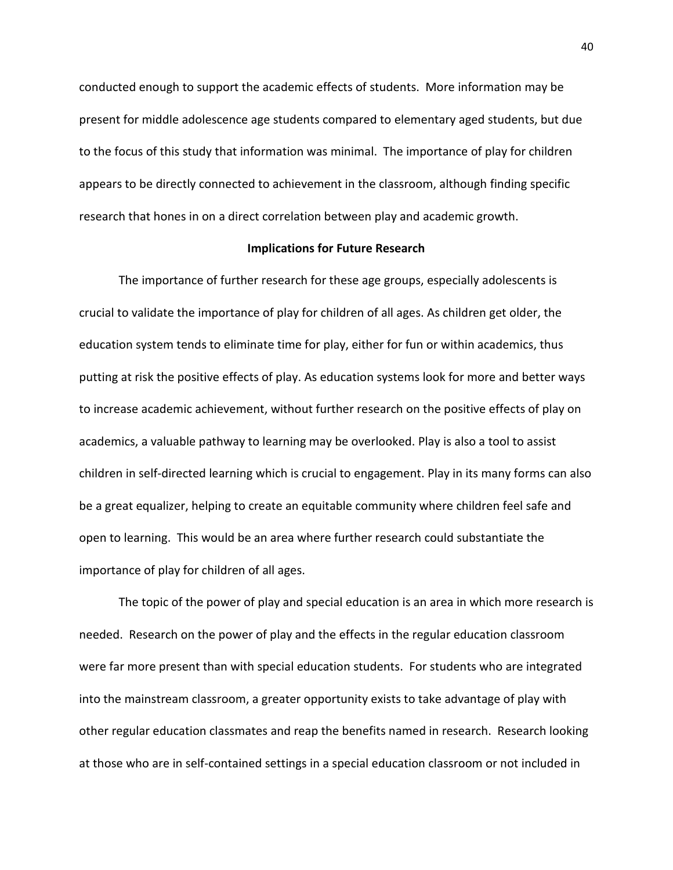conducted enough to support the academic effects of students. More information may be present for middle adolescence age students compared to elementary aged students, but due to the focus of this study that information was minimal. The importance of play for children appears to be directly connected to achievement in the classroom, although finding specific research that hones in on a direct correlation between play and academic growth.

## **Implications for Future Research**

The importance of further research for these age groups, especially adolescents is crucial to validate the importance of play for children of all ages. As children get older, the education system tends to eliminate time for play, either for fun or within academics, thus putting at risk the positive effects of play. As education systems look for more and better ways to increase academic achievement, without further research on the positive effects of play on academics, a valuable pathway to learning may be overlooked. Play is also a tool to assist children in self-directed learning which is crucial to engagement. Play in its many forms can also be a great equalizer, helping to create an equitable community where children feel safe and open to learning. This would be an area where further research could substantiate the importance of play for children of all ages.

The topic of the power of play and special education is an area in which more research is needed. Research on the power of play and the effects in the regular education classroom were far more present than with special education students. For students who are integrated into the mainstream classroom, a greater opportunity exists to take advantage of play with other regular education classmates and reap the benefits named in research. Research looking at those who are in self-contained settings in a special education classroom or not included in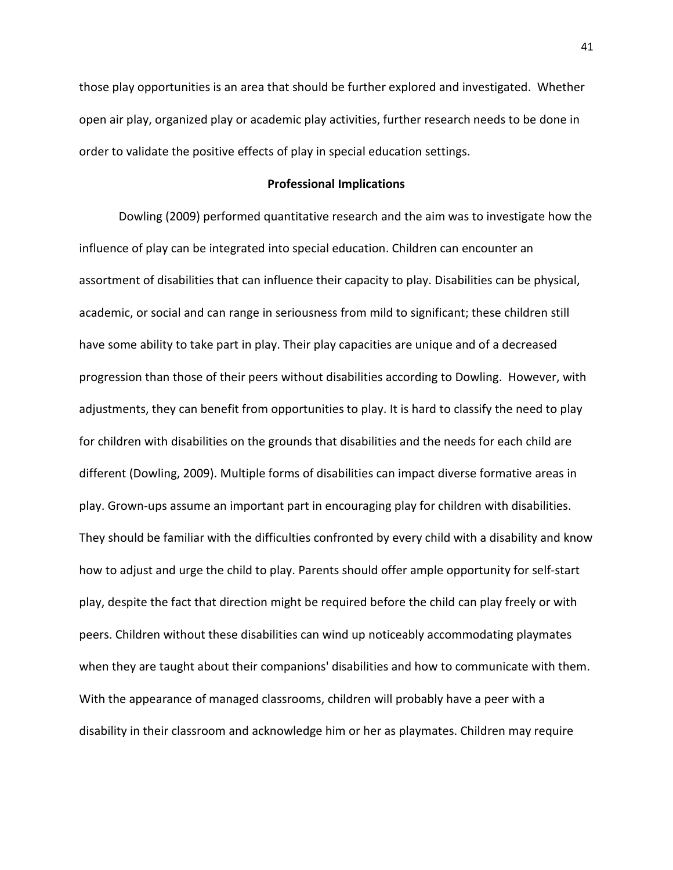those play opportunities is an area that should be further explored and investigated. Whether open air play, organized play or academic play activities, further research needs to be done in order to validate the positive effects of play in special education settings.

#### **Professional Implications**

Dowling (2009) performed quantitative research and the aim was to investigate how the influence of play can be integrated into special education. Children can encounter an assortment of disabilities that can influence their capacity to play. Disabilities can be physical, academic, or social and can range in seriousness from mild to significant; these children still have some ability to take part in play. Their play capacities are unique and of a decreased progression than those of their peers without disabilities according to Dowling. However, with adjustments, they can benefit from opportunities to play. It is hard to classify the need to play for children with disabilities on the grounds that disabilities and the needs for each child are different (Dowling, 2009). Multiple forms of disabilities can impact diverse formative areas in play. Grown-ups assume an important part in encouraging play for children with disabilities. They should be familiar with the difficulties confronted by every child with a disability and know how to adjust and urge the child to play. Parents should offer ample opportunity for self-start play, despite the fact that direction might be required before the child can play freely or with peers. Children without these disabilities can wind up noticeably accommodating playmates when they are taught about their companions' disabilities and how to communicate with them. With the appearance of managed classrooms, children will probably have a peer with a disability in their classroom and acknowledge him or her as playmates. Children may require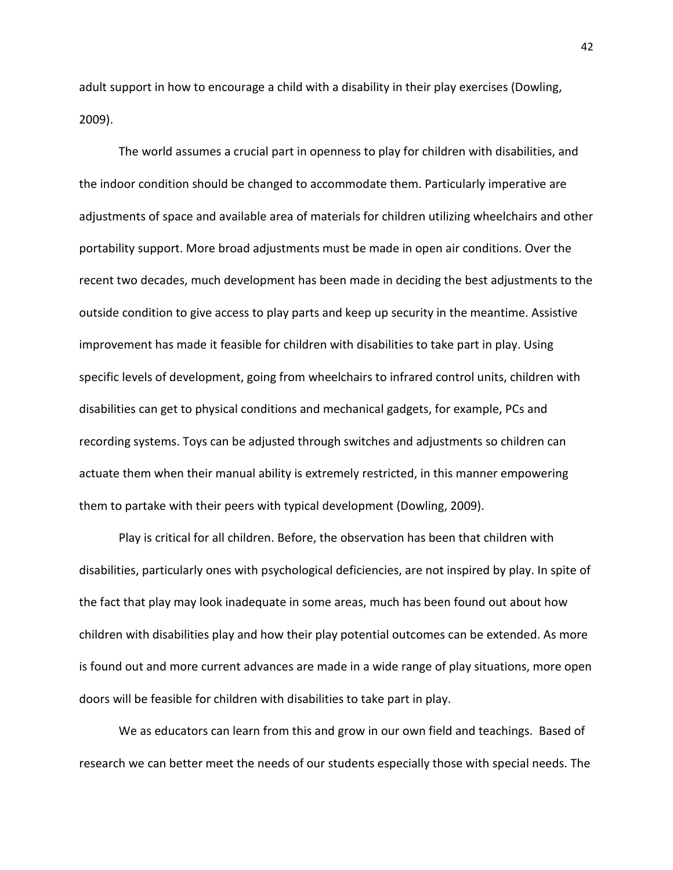adult support in how to encourage a child with a disability in their play exercises (Dowling, 2009).

The world assumes a crucial part in openness to play for children with disabilities, and the indoor condition should be changed to accommodate them. Particularly imperative are adjustments of space and available area of materials for children utilizing wheelchairs and other portability support. More broad adjustments must be made in open air conditions. Over the recent two decades, much development has been made in deciding the best adjustments to the outside condition to give access to play parts and keep up security in the meantime. Assistive improvement has made it feasible for children with disabilities to take part in play. Using specific levels of development, going from wheelchairs to infrared control units, children with disabilities can get to physical conditions and mechanical gadgets, for example, PCs and recording systems. Toys can be adjusted through switches and adjustments so children can actuate them when their manual ability is extremely restricted, in this manner empowering them to partake with their peers with typical development (Dowling, 2009).

Play is critical for all children. Before, the observation has been that children with disabilities, particularly ones with psychological deficiencies, are not inspired by play. In spite of the fact that play may look inadequate in some areas, much has been found out about how children with disabilities play and how their play potential outcomes can be extended. As more is found out and more current advances are made in a wide range of play situations, more open doors will be feasible for children with disabilities to take part in play.

We as educators can learn from this and grow in our own field and teachings. Based of research we can better meet the needs of our students especially those with special needs. The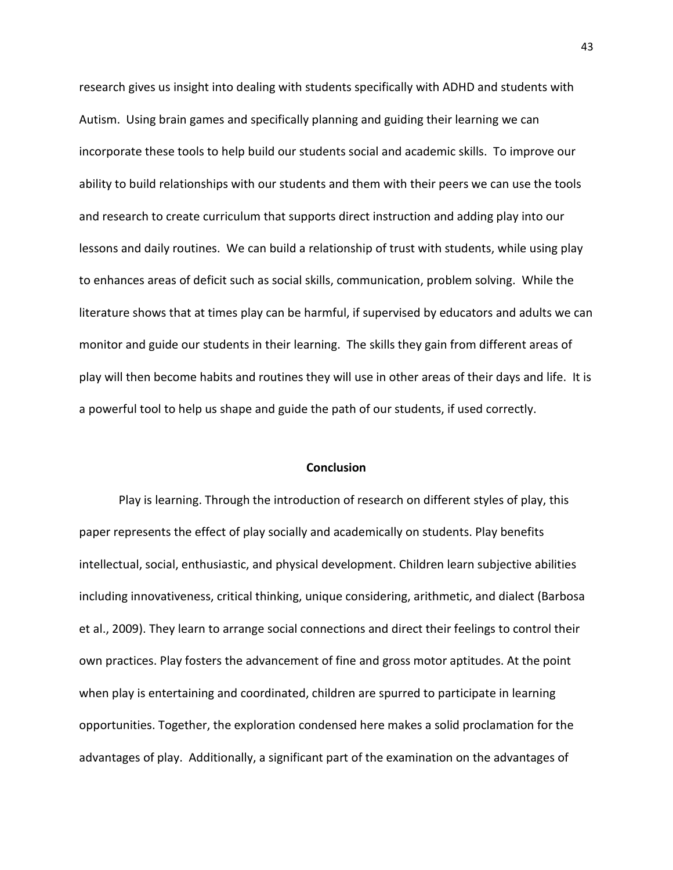research gives us insight into dealing with students specifically with ADHD and students with Autism. Using brain games and specifically planning and guiding their learning we can incorporate these tools to help build our students social and academic skills. To improve our ability to build relationships with our students and them with their peers we can use the tools and research to create curriculum that supports direct instruction and adding play into our lessons and daily routines. We can build a relationship of trust with students, while using play to enhances areas of deficit such as social skills, communication, problem solving. While the literature shows that at times play can be harmful, if supervised by educators and adults we can monitor and guide our students in their learning. The skills they gain from different areas of play will then become habits and routines they will use in other areas of their days and life. It is a powerful tool to help us shape and guide the path of our students, if used correctly.

### **Conclusion**

Play is learning. Through the introduction of research on different styles of play, this paper represents the effect of play socially and academically on students. Play benefits intellectual, social, enthusiastic, and physical development. Children learn subjective abilities including innovativeness, critical thinking, unique considering, arithmetic, and dialect (Barbosa et al., 2009). They learn to arrange social connections and direct their feelings to control their own practices. Play fosters the advancement of fine and gross motor aptitudes. At the point when play is entertaining and coordinated, children are spurred to participate in learning opportunities. Together, the exploration condensed here makes a solid proclamation for the advantages of play. Additionally, a significant part of the examination on the advantages of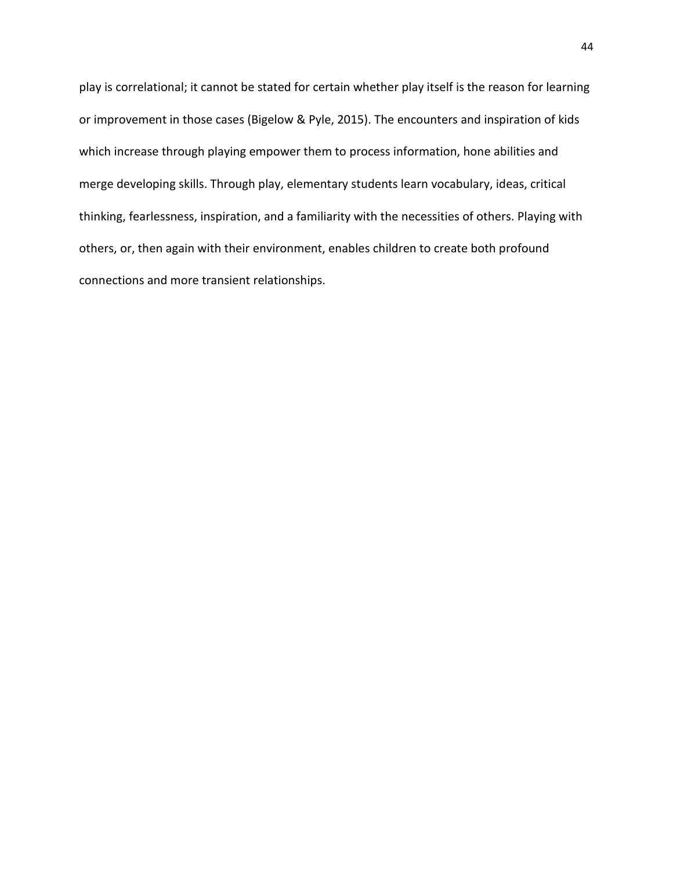play is correlational; it cannot be stated for certain whether play itself is the reason for learning or improvement in those cases (Bigelow & Pyle, 2015). The encounters and inspiration of kids which increase through playing empower them to process information, hone abilities and merge developing skills. Through play, elementary students learn vocabulary, ideas, critical thinking, fearlessness, inspiration, and a familiarity with the necessities of others. Playing with others, or, then again with their environment, enables children to create both profound connections and more transient relationships.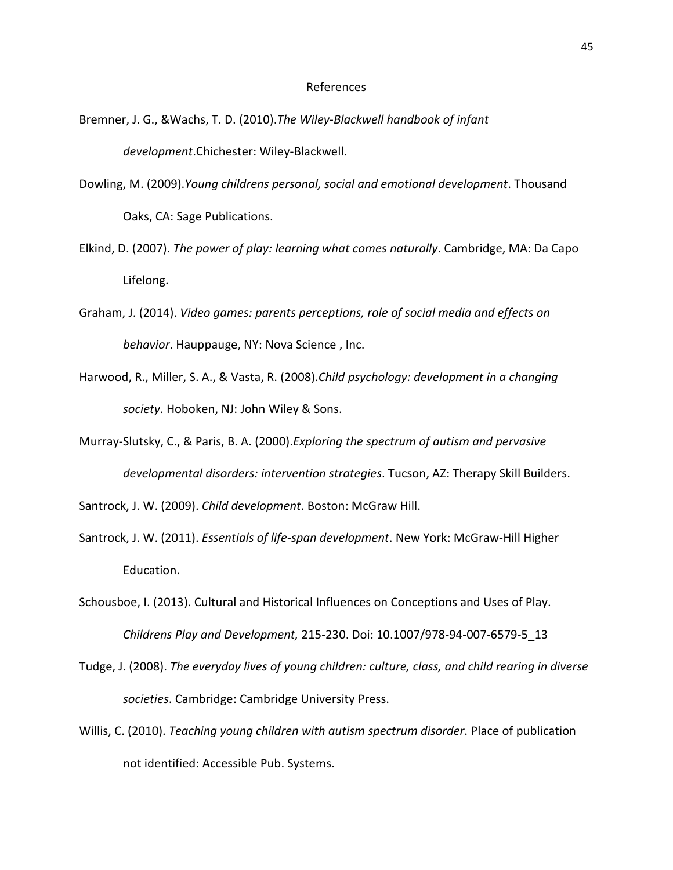#### References

- Bremner, J. G., &Wachs, T. D. (2010).*The Wiley-Blackwell handbook of infant development*.Chichester: Wiley-Blackwell.
- Dowling, M. (2009).*Young childrens personal, social and emotional development*. Thousand Oaks, CA: Sage Publications.
- Elkind, D. (2007). *The power of play: learning what comes naturally*. Cambridge, MA: Da Capo Lifelong.
- Graham, J. (2014). *Video games: parents perceptions, role of social media and effects on behavior*. Hauppauge, NY: Nova Science , Inc.
- Harwood, R., Miller, S. A., & Vasta, R. (2008).*Child psychology: development in a changing society*. Hoboken, NJ: John Wiley & Sons.
- Murray-Slutsky, C., & Paris, B. A. (2000).*Exploring the spectrum of autism and pervasive developmental disorders: intervention strategies*. Tucson, AZ: Therapy Skill Builders.

Santrock, J. W. (2009). *Child development*. Boston: McGraw Hill.

- Santrock, J. W. (2011). *Essentials of life-span development*. New York: McGraw-Hill Higher Education.
- Schousboe, I. (2013). Cultural and Historical Influences on Conceptions and Uses of Play. *Childrens Play and Development,* 215-230. Doi: 10.1007/978-94-007-6579-5\_13
- Tudge, J. (2008). *The everyday lives of young children: culture, class, and child rearing in diverse societies*. Cambridge: Cambridge University Press.
- Willis, C. (2010). *Teaching young children with autism spectrum disorder*. Place of publication not identified: Accessible Pub. Systems.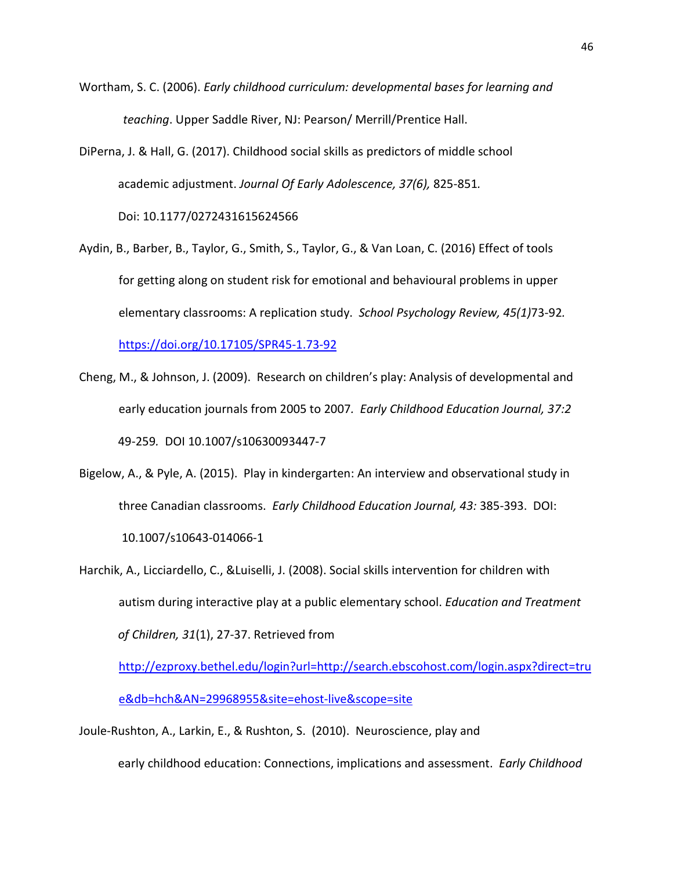- Wortham, S. C. (2006). *Early childhood curriculum: developmental bases for learning and teaching*. Upper Saddle River, NJ: Pearson/ Merrill/Prentice Hall.
- DiPerna, J. & Hall, G. (2017). Childhood social skills as predictors of middle school academic adjustment. *Journal Of Early Adolescence, 37(6),* 825-851*.*  Doi: 10.1177/0272431615624566
- Aydin, B., Barber, B., Taylor, G., Smith, S., Taylor, G., & Van Loan, C. (2016) Effect of tools for getting along on student risk for emotional and behavioural problems in upper elementary classrooms: A replication study. *School Psychology Review, 45(1)*73-92*.*  <https://doi.org/10.17105/SPR45-1.73-92>
- Cheng, M., & Johnson, J. (2009). Research on children's play: Analysis of developmental and early education journals from 2005 to 2007*. Early Childhood Education Journal, 37:2* 49-259*.* DOI 10.1007/s10630093447-7
- Bigelow, A., & Pyle, A. (2015). Play in kindergarten: An interview and observational study in three Canadian classrooms. *Early Childhood Education Journal, 43:* 385-393. DOI: 10.1007/s10643-014066-1
- Harchik, A., Licciardello, C., &Luiselli, J. (2008). Social skills intervention for children with autism during interactive play at a public elementary school. *Education and Treatment of Children, 31*(1), 27-37. Retrieved from

[http://ezproxy.bethel.edu/login?url=http://search.ebscohost.com/login.aspx?direct=tru](http://ezproxy.bethel.edu/login?url=http://search.ebscohost.com/login.aspx?direct=true&db=hch&AN=29968955&site=ehost-live&scope=site) [e&db=hch&AN=29968955&site=ehost-live&scope=site](http://ezproxy.bethel.edu/login?url=http://search.ebscohost.com/login.aspx?direct=true&db=hch&AN=29968955&site=ehost-live&scope=site)

Joule-Rushton, A., Larkin, E., & Rushton, S. (2010). Neuroscience, play and

early childhood education: Connections, implications and assessment. *Early Childhood*